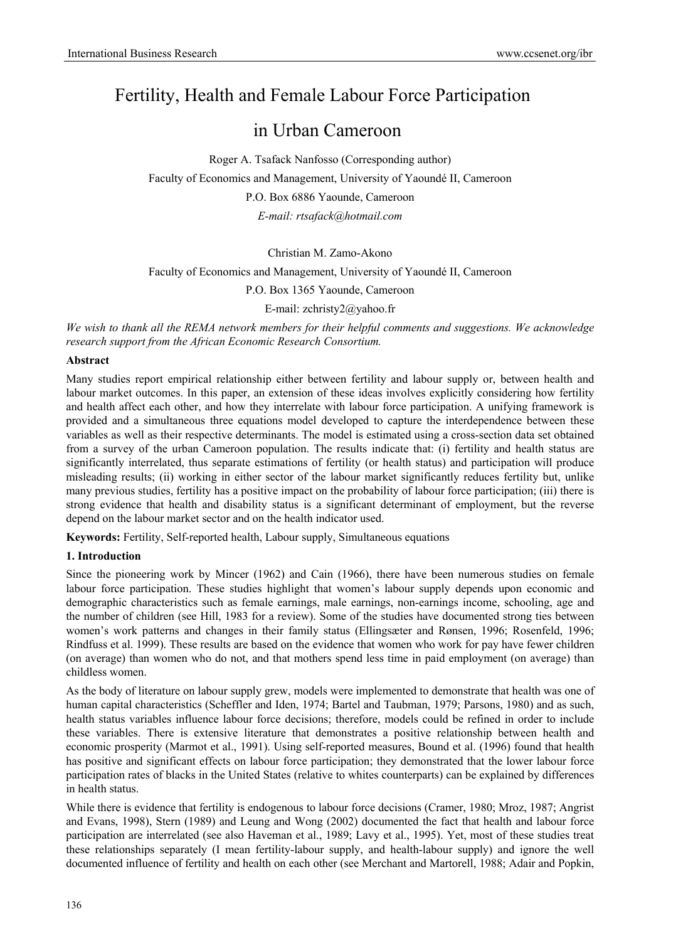# Fertility, Health and Female Labour Force Participation

## in Urban Cameroon

Roger A. Tsafack Nanfosso (Corresponding author) Faculty of Economics and Management, University of Yaoundé II, Cameroon P.O. Box 6886 Yaounde, Cameroon *E-mail: rtsafack@hotmail.com* 

## Christian M. Zamo-Akono

Faculty of Economics and Management, University of Yaoundé II, Cameroon

P.O. Box 1365 Yaounde, Cameroon

E-mail: zchristy2@yahoo.fr

*We wish to thank all the REMA network members for their helpful comments and suggestions. We acknowledge research support from the African Economic Research Consortium.* 

## **Abstract**

Many studies report empirical relationship either between fertility and labour supply or, between health and labour market outcomes. In this paper, an extension of these ideas involves explicitly considering how fertility and health affect each other, and how they interrelate with labour force participation. A unifying framework is provided and a simultaneous three equations model developed to capture the interdependence between these variables as well as their respective determinants. The model is estimated using a cross-section data set obtained from a survey of the urban Cameroon population. The results indicate that: (i) fertility and health status are significantly interrelated, thus separate estimations of fertility (or health status) and participation will produce misleading results; (ii) working in either sector of the labour market significantly reduces fertility but, unlike many previous studies, fertility has a positive impact on the probability of labour force participation; (iii) there is strong evidence that health and disability status is a significant determinant of employment, but the reverse depend on the labour market sector and on the health indicator used.

**Keywords:** Fertility, Self-reported health, Labour supply, Simultaneous equations

## **1. Introduction**

Since the pioneering work by Mincer (1962) and Cain (1966), there have been numerous studies on female labour force participation. These studies highlight that women's labour supply depends upon economic and demographic characteristics such as female earnings, male earnings, non-earnings income, schooling, age and the number of children (see Hill, 1983 for a review). Some of the studies have documented strong ties between women's work patterns and changes in their family status (Ellingsæter and Rønsen, 1996; Rosenfeld, 1996; Rindfuss et al. 1999). These results are based on the evidence that women who work for pay have fewer children (on average) than women who do not, and that mothers spend less time in paid employment (on average) than childless women.

As the body of literature on labour supply grew, models were implemented to demonstrate that health was one of human capital characteristics (Scheffler and Iden, 1974; Bartel and Taubman, 1979; Parsons, 1980) and as such, health status variables influence labour force decisions; therefore, models could be refined in order to include these variables. There is extensive literature that demonstrates a positive relationship between health and economic prosperity (Marmot et al., 1991). Using self-reported measures, Bound et al. (1996) found that health has positive and significant effects on labour force participation; they demonstrated that the lower labour force participation rates of blacks in the United States (relative to whites counterparts) can be explained by differences in health status.

While there is evidence that fertility is endogenous to labour force decisions (Cramer, 1980; Mroz, 1987; Angrist and Evans, 1998), Stern (1989) and Leung and Wong (2002) documented the fact that health and labour force participation are interrelated (see also Haveman et al., 1989; Lavy et al., 1995). Yet, most of these studies treat these relationships separately (I mean fertility-labour supply, and health-labour supply) and ignore the well documented influence of fertility and health on each other (see Merchant and Martorell, 1988; Adair and Popkin,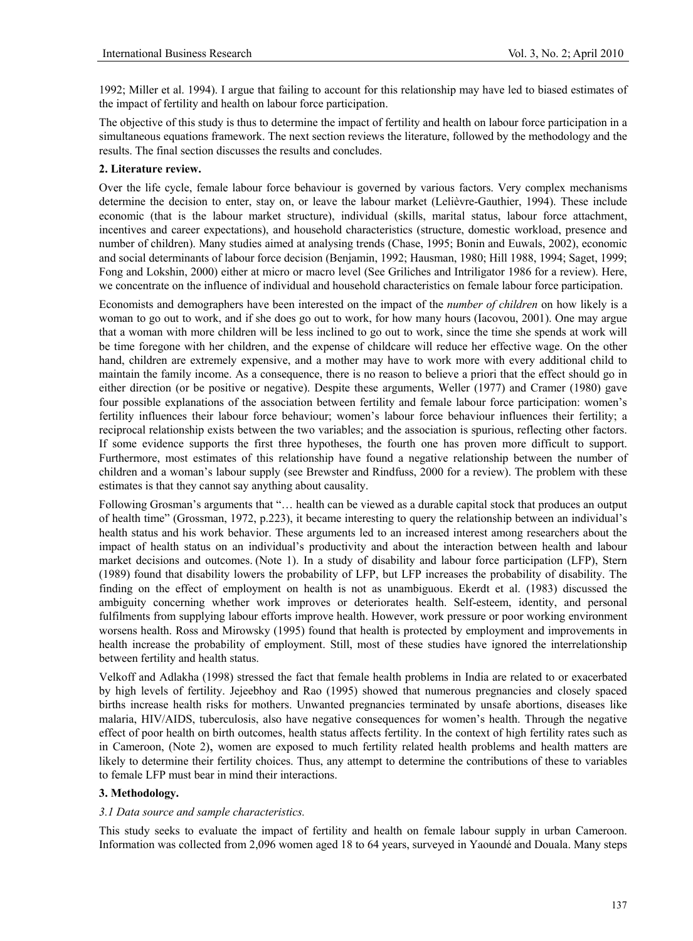1992; Miller et al. 1994). I argue that failing to account for this relationship may have led to biased estimates of the impact of fertility and health on labour force participation.

The objective of this study is thus to determine the impact of fertility and health on labour force participation in a simultaneous equations framework. The next section reviews the literature, followed by the methodology and the results. The final section discusses the results and concludes.

## **2. Literature review.**

Over the life cycle, female labour force behaviour is governed by various factors. Very complex mechanisms determine the decision to enter, stay on, or leave the labour market (Lelièvre-Gauthier, 1994). These include economic (that is the labour market structure), individual (skills, marital status, labour force attachment, incentives and career expectations), and household characteristics (structure, domestic workload, presence and number of children). Many studies aimed at analysing trends (Chase, 1995; Bonin and Euwals, 2002), economic and social determinants of labour force decision (Benjamin, 1992; Hausman, 1980; Hill 1988, 1994; Saget, 1999; Fong and Lokshin, 2000) either at micro or macro level (See Griliches and Intriligator 1986 for a review). Here, we concentrate on the influence of individual and household characteristics on female labour force participation.

Economists and demographers have been interested on the impact of the *number of children* on how likely is a woman to go out to work, and if she does go out to work, for how many hours (Iacovou, 2001). One may argue that a woman with more children will be less inclined to go out to work, since the time she spends at work will be time foregone with her children, and the expense of childcare will reduce her effective wage. On the other hand, children are extremely expensive, and a mother may have to work more with every additional child to maintain the family income. As a consequence, there is no reason to believe a priori that the effect should go in either direction (or be positive or negative). Despite these arguments, Weller (1977) and Cramer (1980) gave four possible explanations of the association between fertility and female labour force participation: women's fertility influences their labour force behaviour; women's labour force behaviour influences their fertility; a reciprocal relationship exists between the two variables; and the association is spurious, reflecting other factors. If some evidence supports the first three hypotheses, the fourth one has proven more difficult to support. Furthermore, most estimates of this relationship have found a negative relationship between the number of children and a woman's labour supply (see Brewster and Rindfuss, 2000 for a review). The problem with these estimates is that they cannot say anything about causality.

Following Grosman's arguments that "… health can be viewed as a durable capital stock that produces an output of health time" (Grossman, 1972, p.223), it became interesting to query the relationship between an individual's health status and his work behavior. These arguments led to an increased interest among researchers about the impact of health status on an individual's productivity and about the interaction between health and labour market decisions and outcomes. (Note 1). In a study of disability and labour force participation (LFP), Stern (1989) found that disability lowers the probability of LFP, but LFP increases the probability of disability. The finding on the effect of employment on health is not as unambiguous. Ekerdt et al. (1983) discussed the ambiguity concerning whether work improves or deteriorates health. Self-esteem, identity, and personal fulfilments from supplying labour efforts improve health. However, work pressure or poor working environment worsens health. Ross and Mirowsky (1995) found that health is protected by employment and improvements in health increase the probability of employment. Still, most of these studies have ignored the interrelationship between fertility and health status.

Velkoff and Adlakha (1998) stressed the fact that female health problems in India are related to or exacerbated by high levels of fertility. Jejeebhoy and Rao (1995) showed that numerous pregnancies and closely spaced births increase health risks for mothers. Unwanted pregnancies terminated by unsafe abortions, diseases like malaria, HIV/AIDS, tuberculosis, also have negative consequences for women's health. Through the negative effect of poor health on birth outcomes, health status affects fertility. In the context of high fertility rates such as in Cameroon, (Note 2), women are exposed to much fertility related health problems and health matters are likely to determine their fertility choices. Thus, any attempt to determine the contributions of these to variables to female LFP must bear in mind their interactions.

## **3. Methodology.**

## *3.1 Data source and sample characteristics.*

This study seeks to evaluate the impact of fertility and health on female labour supply in urban Cameroon. Information was collected from 2,096 women aged 18 to 64 years, surveyed in Yaoundé and Douala. Many steps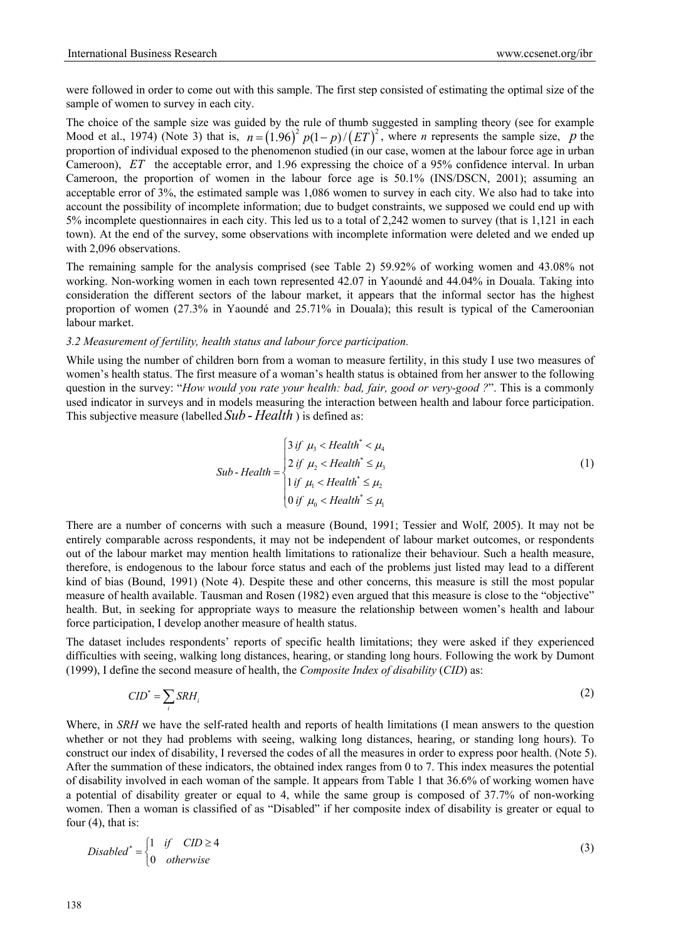were followed in order to come out with this sample. The first step consisted of estimating the optimal size of the sample of women to survey in each city.

The choice of the sample size was guided by the rule of thumb suggested in sampling theory (see for example Mood et al., 1974) (Note 3) that is,  $n = (1.96)^2 p(1-p)/(ET)^2$ , where *n* represents the sample size, *p* the proportion of individual exposed to the phenomenon studied (in our case, women at the labour force age in urban Cameroon), *ET* the acceptable error, and 1.96 expressing the choice of a 95% confidence interval. In urban Cameroon, the proportion of women in the labour force age is 50.1% (INS/DSCN, 2001); assuming an acceptable error of 3%, the estimated sample was 1,086 women to survey in each city. We also had to take into account the possibility of incomplete information; due to budget constraints, we supposed we could end up with 5% incomplete questionnaires in each city. This led us to a total of 2,242 women to survey (that is 1,121 in each town). At the end of the survey, some observations with incomplete information were deleted and we ended up with 2,096 observations.

The remaining sample for the analysis comprised (see Table 2) 59.92% of working women and 43.08% not working. Non-working women in each town represented 42.07 in Yaoundé and 44.04% in Douala. Taking into consideration the different sectors of the labour market, it appears that the informal sector has the highest proportion of women (27.3% in Yaoundé and 25.71% in Douala); this result is typical of the Cameroonian labour market.

## *3.2 Measurement of fertility, health status and labour force participation.*

While using the number of children born from a woman to measure fertility, in this study I use two measures of women's health status. The first measure of a woman's health status is obtained from her answer to the following question in the survey: "*How would you rate your health: bad, fair, good or very-good ?*". This is a commonly used indicator in surveys and in models measuring the interaction between health and labour force participation. This subjective measure (labelled *Sub - Health*) is defined as:

$$
Sub-Health = \begin{cases} 3 \text{ if } \mu_3 < Health^* < \mu_4 \\ 2 \text{ if } \mu_2 < Health^* \le \mu_3 \\ 1 \text{ if } \mu_1 < Health^* \le \mu_2 \\ 0 \text{ if } \mu_0 < Health^* \le \mu_1 \end{cases} \tag{1}
$$

There are a number of concerns with such a measure (Bound, 1991; Tessier and Wolf, 2005). It may not be entirely comparable across respondents, it may not be independent of labour market outcomes, or respondents out of the labour market may mention health limitations to rationalize their behaviour. Such a health measure, therefore, is endogenous to the labour force status and each of the problems just listed may lead to a different kind of bias (Bound, 1991) (Note 4). Despite these and other concerns, this measure is still the most popular measure of health available. Tausman and Rosen (1982) even argued that this measure is close to the "objective" health. But, in seeking for appropriate ways to measure the relationship between women's health and labour force participation, I develop another measure of health status.

The dataset includes respondents' reports of specific health limitations; they were asked if they experienced difficulties with seeing, walking long distances, hearing, or standing long hours. Following the work by Dumont (1999), I define the second measure of health, the *Composite Index of disability* (*CID*) as:

$$
CID^* = \sum_i SRH_i \tag{2}
$$

Where, in *SRH* we have the self-rated health and reports of health limitations (I mean answers to the question whether or not they had problems with seeing, walking long distances, hearing, or standing long hours). To construct our index of disability, I reversed the codes of all the measures in order to express poor health. (Note 5). After the summation of these indicators, the obtained index ranges from 0 to 7. This index measures the potential of disability involved in each woman of the sample. It appears from Table 1 that 36.6% of working women have a potential of disability greater or equal to 4, while the same group is composed of 37.7% of non-working women. Then a woman is classified of as "Disabled" if her composite index of disability is greater or equal to four (4), that is:

$$
Disabled^* = \begin{cases} 1 & \text{if } \quad \text{CID} \ge 4 \\ 0 & \text{otherwise} \end{cases} \tag{3}
$$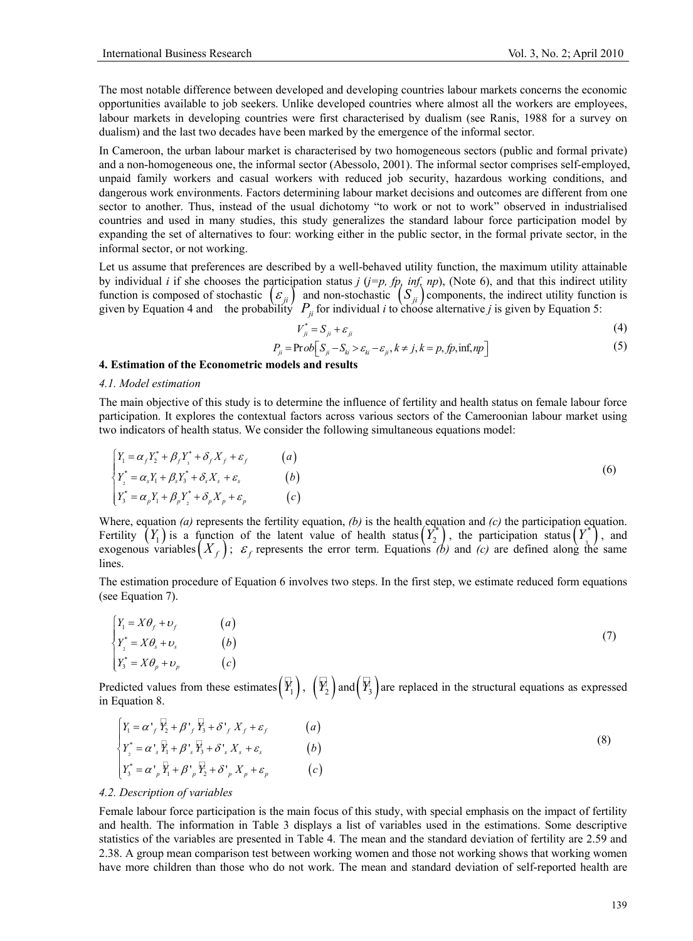The most notable difference between developed and developing countries labour markets concerns the economic opportunities available to job seekers. Unlike developed countries where almost all the workers are employees, labour markets in developing countries were first characterised by dualism (see Ranis, 1988 for a survey on dualism) and the last two decades have been marked by the emergence of the informal sector.

In Cameroon, the urban labour market is characterised by two homogeneous sectors (public and formal private) and a non-homogeneous one, the informal sector (Abessolo, 2001). The informal sector comprises self-employed, unpaid family workers and casual workers with reduced job security, hazardous working conditions, and dangerous work environments. Factors determining labour market decisions and outcomes are different from one sector to another. Thus, instead of the usual dichotomy "to work or not to work" observed in industrialised countries and used in many studies, this study generalizes the standard labour force participation model by expanding the set of alternatives to four: working either in the public sector, in the formal private sector, in the informal sector, or not working.

Let us assume that preferences are described by a well-behaved utility function, the maximum utility attainable by individual *i* if she chooses the participation status  $j$  ( $j=p$ ,  $fp$ ,  $inf$ ,  $np$ ), (Note 6), and that this indirect utility function is composed of stochastic  $(\varepsilon_{ji})$  and non-stochastic  $(S_{ji})$  components, the indirect utility function is given by Equation 4 and the probability  $P_{ji}$  for individual *i* to choose alternative *j* is given by Equation 5:

$$
V_{ji}^* = S_{ji} + \varepsilon_{ji} \tag{4}
$$

$$
P_{ji} = \text{Prob}\Big[S_{ji} - S_{ki} > \varepsilon_{ki} - \varepsilon_{ji}, k \neq j, k = p, fp, \inf np\Big] \tag{5}
$$

## **4. Estimation of the Econometric models and results**

#### *4.1. Model estimation*

The main objective of this study is to determine the influence of fertility and health status on female labour force participation. It explores the contextual factors across various sectors of the Cameroonian labour market using two indicators of health status. We consider the following simultaneous equations model:

$$
\begin{cases}\nY_1 = \alpha_f Y_2^* + \beta_f Y_3^* + \delta_f X_f + \varepsilon_f & (a) \\
Y_2^* = \alpha_s Y_1 + \beta_s Y_3^* + \delta_s X_s + \varepsilon_s & (b) \\
Y_3^* = \alpha_p Y_1 + \beta_p Y_2^* + \delta_p X_p + \varepsilon_p & (c)\n\end{cases}
$$
\n(6)

Where, equation *(a)* represents the fertility equation, *(b)* is the health equation and *(c)* the participation equation. Fertility  $(Y_1)$  is a function of the latent value of health status $(Y_2^*)$ , the participation status $(Y_3^*)$ , and exogenous variables $(X_f)$ ;  $\varepsilon_f$  represents the error term. Equations *(b)* and *(c)* are defined along the same lines.

The estimation procedure of Equation 6 involves two steps. In the first step, we estimate reduced form equations (see Equation 7).

$$
\begin{cases}\nY_1 = X\theta_f + \nu_f & (a) \\
Y_2^* = X\theta_s + \nu_s & (b) \\
Y_3^* = X\theta_p + \nu_p & (c)\n\end{cases}
$$
\n(7)

Predicted values from these estimates  $(\overline{Y}_1)$ ,  $(\overline{Y}_2)$  and  $(\overline{Y}_3)$  are replaced in the structural equations as expressed in Equation 8.

$$
\begin{cases}\nY_1 = \alpha'_{f} \overline{Y}_2 + \beta'_{f} \overline{Y}_3 + \delta'_{f} X_{f} + \varepsilon_{f} & (a) \\
Y_2^* = \alpha'_{s} \overline{Y}_1 + \beta'_{s} \overline{Y}_3 + \delta'_{s} X_{s} + \varepsilon_{s} & (b) \\
Y_3^* = \alpha'_{p} \overline{Y}_1 + \beta'_{p} \overline{Y}_2 + \delta'_{p} X_{p} + \varepsilon_{p} & (c)\n\end{cases}
$$
\n(8)

#### *4.2. Description of variables*

Female labour force participation is the main focus of this study, with special emphasis on the impact of fertility and health. The information in Table 3 displays a list of variables used in the estimations. Some descriptive statistics of the variables are presented in Table 4. The mean and the standard deviation of fertility are 2.59 and 2.38. A group mean comparison test between working women and those not working shows that working women have more children than those who do not work. The mean and standard deviation of self-reported health are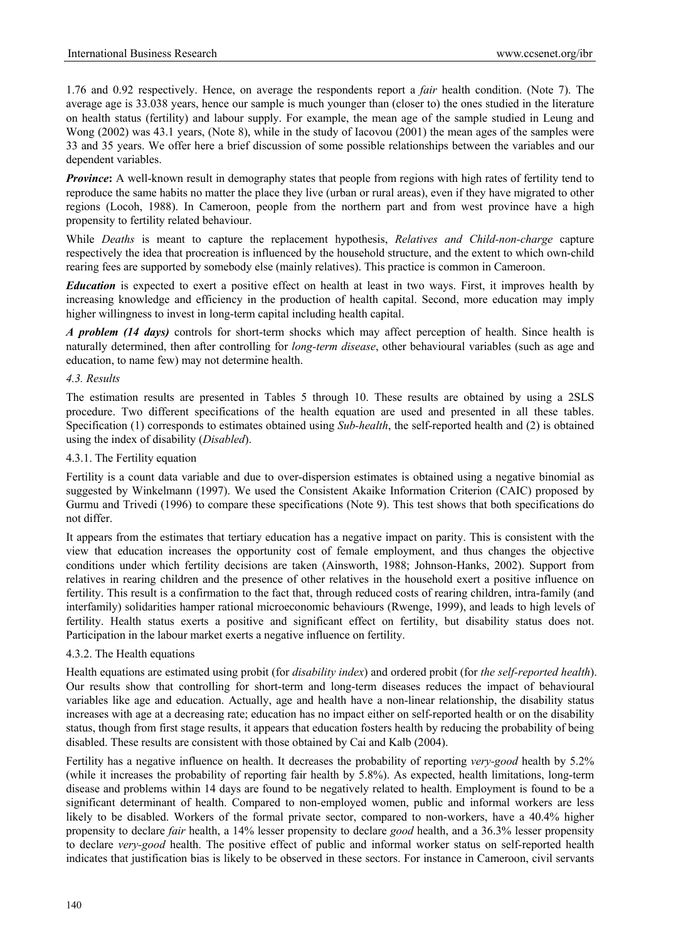1.76 and 0.92 respectively. Hence, on average the respondents report a *fair* health condition. (Note 7). The average age is 33.038 years, hence our sample is much younger than (closer to) the ones studied in the literature on health status (fertility) and labour supply. For example, the mean age of the sample studied in Leung and Wong (2002) was 43.1 years, (Note 8), while in the study of Iacovou (2001) the mean ages of the samples were 33 and 35 years. We offer here a brief discussion of some possible relationships between the variables and our dependent variables.

*Province*: A well-known result in demography states that people from regions with high rates of fertility tend to reproduce the same habits no matter the place they live (urban or rural areas), even if they have migrated to other regions (Locoh, 1988). In Cameroon, people from the northern part and from west province have a high propensity to fertility related behaviour.

While *Deaths* is meant to capture the replacement hypothesis, *Relatives and Child-non-charge* capture respectively the idea that procreation is influenced by the household structure, and the extent to which own-child rearing fees are supported by somebody else (mainly relatives). This practice is common in Cameroon.

*Education* is expected to exert a positive effect on health at least in two ways. First, it improves health by increasing knowledge and efficiency in the production of health capital. Second, more education may imply higher willingness to invest in long-term capital including health capital.

*A problem (14 days)* controls for short-term shocks which may affect perception of health. Since health is naturally determined, then after controlling for *long-term disease*, other behavioural variables (such as age and education, to name few) may not determine health.

## *4.3. Results*

The estimation results are presented in Tables 5 through 10. These results are obtained by using a 2SLS procedure. Two different specifications of the health equation are used and presented in all these tables. Specification (1) corresponds to estimates obtained using *Sub-health*, the self-reported health and (2) is obtained using the index of disability (*Disabled*).

## 4.3.1. The Fertility equation

Fertility is a count data variable and due to over-dispersion estimates is obtained using a negative binomial as suggested by Winkelmann (1997). We used the Consistent Akaike Information Criterion (CAIC) proposed by Gurmu and Trivedi (1996) to compare these specifications (Note 9). This test shows that both specifications do not differ.

It appears from the estimates that tertiary education has a negative impact on parity. This is consistent with the view that education increases the opportunity cost of female employment, and thus changes the objective conditions under which fertility decisions are taken (Ainsworth, 1988; Johnson-Hanks, 2002). Support from relatives in rearing children and the presence of other relatives in the household exert a positive influence on fertility. This result is a confirmation to the fact that, through reduced costs of rearing children, intra-family (and interfamily) solidarities hamper rational microeconomic behaviours (Rwenge, 1999), and leads to high levels of fertility. Health status exerts a positive and significant effect on fertility, but disability status does not. Participation in the labour market exerts a negative influence on fertility.

## 4.3.2. The Health equations

Health equations are estimated using probit (for *disability index*) and ordered probit (for *the self-reported health*). Our results show that controlling for short-term and long-term diseases reduces the impact of behavioural variables like age and education. Actually, age and health have a non-linear relationship, the disability status increases with age at a decreasing rate; education has no impact either on self-reported health or on the disability status, though from first stage results, it appears that education fosters health by reducing the probability of being disabled. These results are consistent with those obtained by Cai and Kalb (2004).

Fertility has a negative influence on health. It decreases the probability of reporting *very-good* health by 5.2% (while it increases the probability of reporting fair health by 5.8%). As expected, health limitations, long-term disease and problems within 14 days are found to be negatively related to health. Employment is found to be a significant determinant of health. Compared to non-employed women, public and informal workers are less likely to be disabled. Workers of the formal private sector, compared to non-workers, have a 40.4% higher propensity to declare *fair* health, a 14% lesser propensity to declare *good* health, and a 36.3% lesser propensity to declare *very-good* health. The positive effect of public and informal worker status on self-reported health indicates that justification bias is likely to be observed in these sectors. For instance in Cameroon, civil servants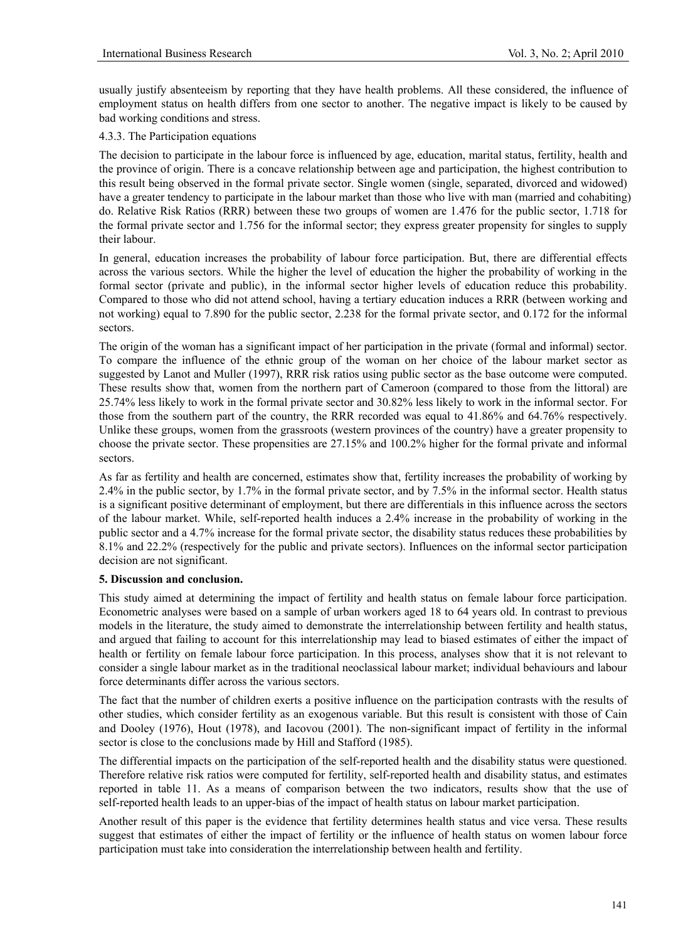usually justify absenteeism by reporting that they have health problems. All these considered, the influence of employment status on health differs from one sector to another. The negative impact is likely to be caused by bad working conditions and stress.

## 4.3.3. The Participation equations

The decision to participate in the labour force is influenced by age, education, marital status, fertility, health and the province of origin. There is a concave relationship between age and participation, the highest contribution to this result being observed in the formal private sector. Single women (single, separated, divorced and widowed) have a greater tendency to participate in the labour market than those who live with man (married and cohabiting) do. Relative Risk Ratios (RRR) between these two groups of women are 1.476 for the public sector, 1.718 for the formal private sector and 1.756 for the informal sector; they express greater propensity for singles to supply their labour.

In general, education increases the probability of labour force participation. But, there are differential effects across the various sectors. While the higher the level of education the higher the probability of working in the formal sector (private and public), in the informal sector higher levels of education reduce this probability. Compared to those who did not attend school, having a tertiary education induces a RRR (between working and not working) equal to 7.890 for the public sector, 2.238 for the formal private sector, and 0.172 for the informal sectors.

The origin of the woman has a significant impact of her participation in the private (formal and informal) sector. To compare the influence of the ethnic group of the woman on her choice of the labour market sector as suggested by Lanot and Muller (1997), RRR risk ratios using public sector as the base outcome were computed. These results show that, women from the northern part of Cameroon (compared to those from the littoral) are 25.74% less likely to work in the formal private sector and 30.82% less likely to work in the informal sector. For those from the southern part of the country, the RRR recorded was equal to 41.86% and 64.76% respectively. Unlike these groups, women from the grassroots (western provinces of the country) have a greater propensity to choose the private sector. These propensities are 27.15% and 100.2% higher for the formal private and informal sectors.

As far as fertility and health are concerned, estimates show that, fertility increases the probability of working by 2.4% in the public sector, by 1.7% in the formal private sector, and by 7.5% in the informal sector. Health status is a significant positive determinant of employment, but there are differentials in this influence across the sectors of the labour market. While, self-reported health induces a 2.4% increase in the probability of working in the public sector and a 4.7% increase for the formal private sector, the disability status reduces these probabilities by 8.1% and 22.2% (respectively for the public and private sectors). Influences on the informal sector participation decision are not significant.

## **5. Discussion and conclusion.**

This study aimed at determining the impact of fertility and health status on female labour force participation. Econometric analyses were based on a sample of urban workers aged 18 to 64 years old. In contrast to previous models in the literature, the study aimed to demonstrate the interrelationship between fertility and health status, and argued that failing to account for this interrelationship may lead to biased estimates of either the impact of health or fertility on female labour force participation. In this process, analyses show that it is not relevant to consider a single labour market as in the traditional neoclassical labour market; individual behaviours and labour force determinants differ across the various sectors.

The fact that the number of children exerts a positive influence on the participation contrasts with the results of other studies, which consider fertility as an exogenous variable. But this result is consistent with those of Cain and Dooley (1976), Hout (1978), and Iacovou (2001). The non-significant impact of fertility in the informal sector is close to the conclusions made by Hill and Stafford (1985).

The differential impacts on the participation of the self-reported health and the disability status were questioned. Therefore relative risk ratios were computed for fertility, self-reported health and disability status, and estimates reported in table 11. As a means of comparison between the two indicators, results show that the use of self-reported health leads to an upper-bias of the impact of health status on labour market participation.

Another result of this paper is the evidence that fertility determines health status and vice versa. These results suggest that estimates of either the impact of fertility or the influence of health status on women labour force participation must take into consideration the interrelationship between health and fertility.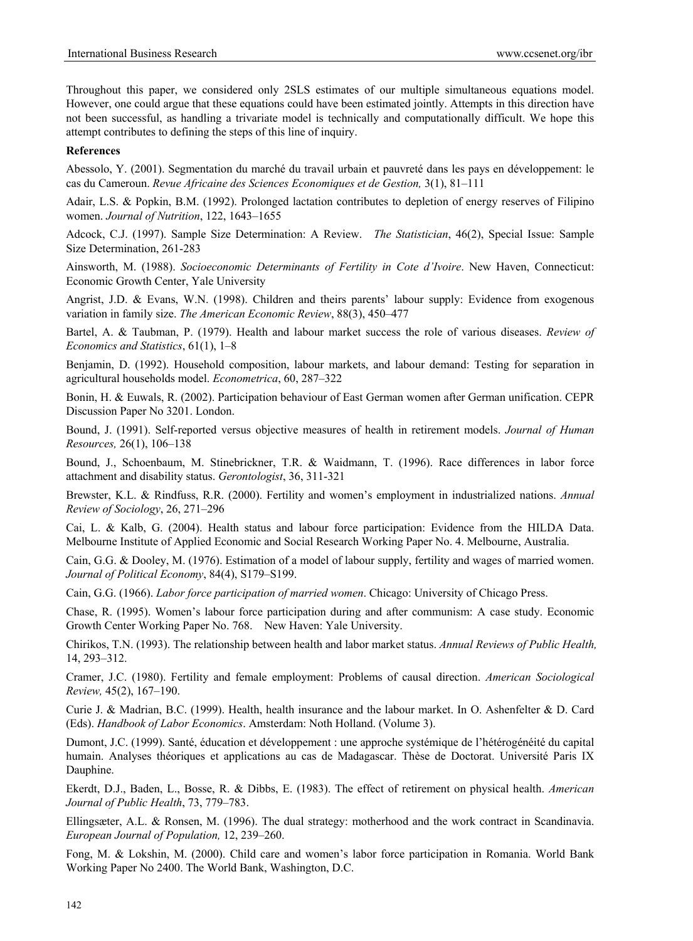Throughout this paper, we considered only 2SLS estimates of our multiple simultaneous equations model. However, one could argue that these equations could have been estimated jointly. Attempts in this direction have not been successful, as handling a trivariate model is technically and computationally difficult. We hope this attempt contributes to defining the steps of this line of inquiry.

#### **References**

Abessolo, Y. (2001). Segmentation du marché du travail urbain et pauvreté dans les pays en développement: le cas du Cameroun. *Revue Africaine des Sciences Economiques et de Gestion,* 3(1), 81–111

Adair, L.S. & Popkin, B.M. (1992). Prolonged lactation contributes to depletion of energy reserves of Filipino women. *Journal of Nutrition*, 122, 1643–1655

Adcock, C.J. (1997). Sample Size Determination: A Review. *The Statistician*, 46(2), Special Issue: Sample Size Determination, 261-283

Ainsworth, M. (1988). *Socioeconomic Determinants of Fertility in Cote d'Ivoire*. New Haven, Connecticut: Economic Growth Center, Yale University

Angrist, J.D. & Evans, W.N. (1998). Children and theirs parents' labour supply: Evidence from exogenous variation in family size. *The American Economic Review*, 88(3), 450–477

Bartel, A. & Taubman, P. (1979). Health and labour market success the role of various diseases. *Review of Economics and Statistics*, 61(1), 1–8

Benjamin, D. (1992). Household composition, labour markets, and labour demand: Testing for separation in agricultural households model. *Econometrica*, 60, 287–322

Bonin, H. & Euwals, R. (2002). Participation behaviour of East German women after German unification. CEPR Discussion Paper No 3201. London.

Bound, J. (1991). Self-reported versus objective measures of health in retirement models. *Journal of Human Resources,* 26(1), 106–138

Bound, J., Schoenbaum, M. Stinebrickner, T.R. & Waidmann, T. (1996). Race differences in labor force attachment and disability status. *Gerontologist*, 36, 311-321

Brewster, K.L. & Rindfuss, R.R. (2000). Fertility and women's employment in industrialized nations. *Annual Review of Sociology*, 26, 271–296

Cai, L. & Kalb, G. (2004). Health status and labour force participation: Evidence from the HILDA Data. Melbourne Institute of Applied Economic and Social Research Working Paper No. 4. Melbourne, Australia.

Cain, G.G. & Dooley, M. (1976). Estimation of a model of labour supply, fertility and wages of married women. *Journal of Political Economy*, 84(4), S179–S199.

Cain, G.G. (1966). *Labor force participation of married women*. Chicago: University of Chicago Press.

Chase, R. (1995). Women's labour force participation during and after communism: A case study. Economic Growth Center Working Paper No. 768. New Haven: Yale University.

Chirikos, T.N. (1993). The relationship between health and labor market status. *Annual Reviews of Public Health,*  14, 293–312.

Cramer, J.C. (1980). Fertility and female employment: Problems of causal direction. *American Sociological Review,* 45(2), 167–190.

Curie J. & Madrian, B.C. (1999). Health, health insurance and the labour market. In O. Ashenfelter & D. Card (Eds). *Handbook of Labor Economics*. Amsterdam: Noth Holland. (Volume 3).

Dumont, J.C. (1999). Santé, éducation et développement : une approche systémique de l'hétérogénéité du capital humain. Analyses théoriques et applications au cas de Madagascar. Thèse de Doctorat. Université Paris IX Dauphine.

Ekerdt, D.J., Baden, L., Bosse, R. & Dibbs, E. (1983). The effect of retirement on physical health. *American Journal of Public Health*, 73, 779–783.

Ellingsæter, A.L. & Ronsen, M. (1996). The dual strategy: motherhood and the work contract in Scandinavia. *European Journal of Population,* 12, 239–260.

Fong, M. & Lokshin, M. (2000). Child care and women's labor force participation in Romania. World Bank Working Paper No 2400. The World Bank, Washington, D.C.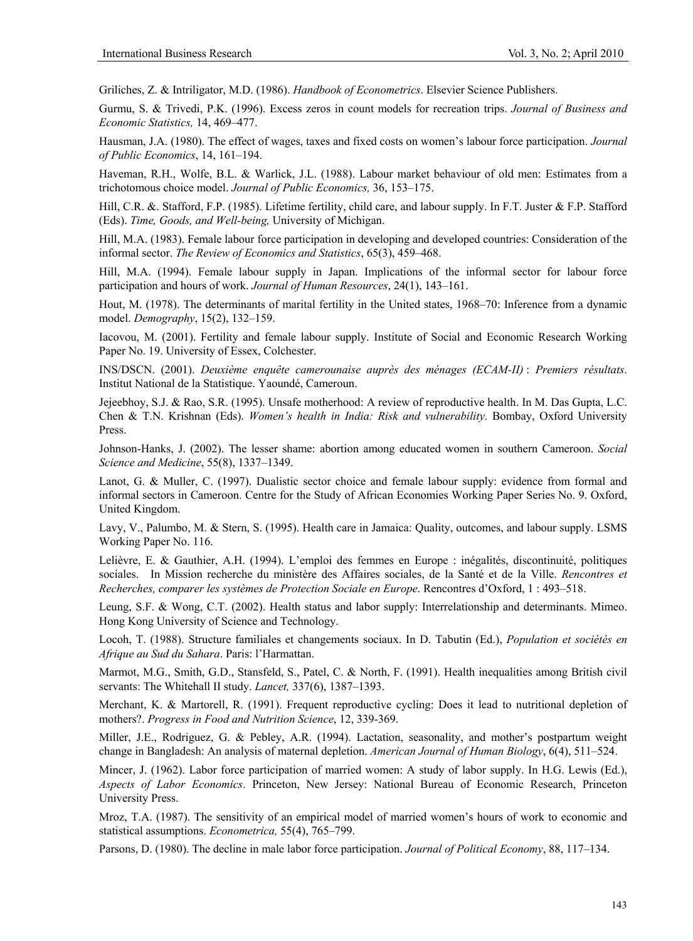Griliches, Z. & Intriligator, M.D. (1986). *Handbook of Econometrics*. Elsevier Science Publishers.

Gurmu, S. & Trivedi, P.K. (1996). Excess zeros in count models for recreation trips. *Journal of Business and Economic Statistics,* 14, 469–477.

Hausman, J.A. (1980). The effect of wages, taxes and fixed costs on women's labour force participation. *Journal of Public Economics*, 14, 161–194.

Haveman, R.H., Wolfe, B.L. & Warlick, J.L. (1988). Labour market behaviour of old men: Estimates from a trichotomous choice model. *Journal of Public Economics,* 36, 153–175.

Hill, C.R. &. Stafford, F.P. (1985). Lifetime fertility, child care, and labour supply. In F.T. Juster & F.P. Stafford (Eds). *Time, Goods, and Well-being,* University of Michigan.

Hill, M.A. (1983). Female labour force participation in developing and developed countries: Consideration of the informal sector. *The Review of Economics and Statistics*, 65(3), 459–468.

Hill, M.A. (1994). Female labour supply in Japan. Implications of the informal sector for labour force participation and hours of work. *Journal of Human Resources*, 24(1), 143–161.

Hout, M. (1978). The determinants of marital fertility in the United states, 1968–70: Inference from a dynamic model. *Demography*, 15(2), 132–159.

Iacovou, M. (2001). Fertility and female labour supply. Institute of Social and Economic Research Working Paper No. 19. University of Essex, Colchester.

INS/DSCN. (2001). *Deuxième enquête camerounaise auprès des ménages (ECAM-II)* : *Premiers résultats*. Institut National de la Statistique. Yaoundé, Cameroun.

Jejeebhoy, S.J. & Rao, S.R. (1995). Unsafe motherhood: A review of reproductive health. In M. Das Gupta, L.C. Chen & T.N. Krishnan (Eds). *Women's health in India: Risk and vulnerability*. Bombay, Oxford University Press.

Johnson-Hanks, J. (2002). The lesser shame: abortion among educated women in southern Cameroon. *Social Science and Medicine*, 55(8), 1337–1349.

Lanot, G. & Muller, C. (1997). Dualistic sector choice and female labour supply: evidence from formal and informal sectors in Cameroon. Centre for the Study of African Economies Working Paper Series No. 9. Oxford, United Kingdom.

Lavy, V., Palumbo, M. & Stern, S. (1995). Health care in Jamaica: Quality, outcomes, and labour supply. LSMS Working Paper No. 116.

Lelièvre, E. & Gauthier, A.H. (1994). L'emploi des femmes en Europe : inégalités, discontinuité, politiques sociales. In Mission recherche du ministère des Affaires sociales, de la Santé et de la Ville. *Rencontres et Recherches, comparer les systèmes de Protection Sociale en Europe*. Rencontres d'Oxford, 1 : 493–518.

Leung, S.F. & Wong, C.T. (2002). Health status and labor supply: Interrelationship and determinants. Mimeo. Hong Kong University of Science and Technology.

Locoh, T. (1988). Structure familiales et changements sociaux. In D. Tabutin (Ed.), *Population et sociétés en Afrique au Sud du Sahara*. Paris: l'Harmattan.

Marmot, M.G., Smith, G.D., Stansfeld, S., Patel, C. & North, F. (1991). Health inequalities among British civil servants: The Whitehall II study. *Lancet,* 337(6), 1387–1393.

Merchant, K. & Martorell, R. (1991). Frequent reproductive cycling: Does it lead to nutritional depletion of mothers?. *Progress in Food and Nutrition Science*, 12, 339-369.

Miller, J.E., Rodriguez, G. & Pebley, A.R. (1994). Lactation, seasonality, and mother's postpartum weight change in Bangladesh: An analysis of maternal depletion. *American Journal of Human Biology*, 6(4), 511–524.

Mincer, J. (1962). Labor force participation of married women: A study of labor supply. In H.G. Lewis (Ed.), *Aspects of Labor Economics*. Princeton, New Jersey: National Bureau of Economic Research, Princeton University Press.

Mroz, T.A. (1987). The sensitivity of an empirical model of married women's hours of work to economic and statistical assumptions. *Econometrica,* 55(4), 765–799.

Parsons, D. (1980). The decline in male labor force participation. *Journal of Political Economy*, 88, 117–134.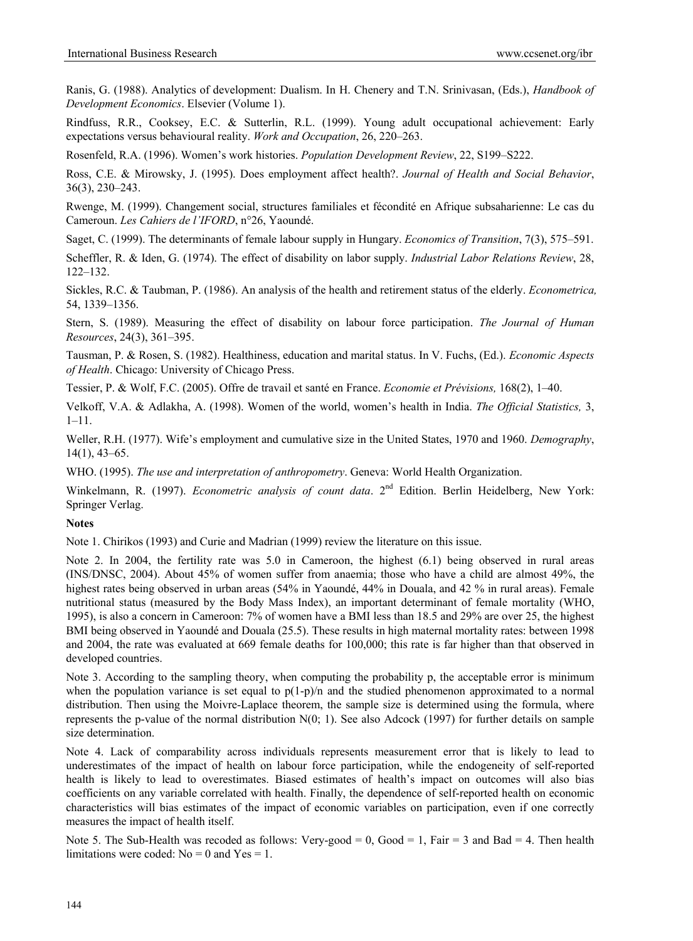Ranis, G. (1988). Analytics of development: Dualism. In H. Chenery and T.N. Srinivasan, (Eds.), *Handbook of Development Economics*. Elsevier (Volume 1).

Rindfuss, R.R., Cooksey, E.C. & Sutterlin, R.L. (1999). Young adult occupational achievement: Early expectations versus behavioural reality. *Work and Occupation*, 26, 220–263.

Rosenfeld, R.A. (1996). Women's work histories. *Population Development Review*, 22, S199–S222.

Ross, C.E. & Mirowsky, J. (1995). Does employment affect health?. *Journal of Health and Social Behavior*, 36(3), 230–243.

Rwenge, M. (1999). Changement social, structures familiales et fécondité en Afrique subsaharienne: Le cas du Cameroun. *Les Cahiers de l'IFORD*, n°26, Yaoundé.

Saget, C. (1999). The determinants of female labour supply in Hungary. *Economics of Transition*, 7(3), 575–591.

Scheffler, R. & Iden, G. (1974). The effect of disability on labor supply. *Industrial Labor Relations Review*, 28, 122–132.

Sickles, R.C. & Taubman, P. (1986). An analysis of the health and retirement status of the elderly. *Econometrica,* 54, 1339–1356.

Stern, S. (1989). Measuring the effect of disability on labour force participation. *The Journal of Human Resources*, 24(3), 361–395.

Tausman, P. & Rosen, S. (1982). Healthiness, education and marital status. In V. Fuchs, (Ed.). *Economic Aspects of Health*. Chicago: University of Chicago Press.

Tessier, P. & Wolf, F.C. (2005). Offre de travail et santé en France. *Economie et Prévisions,* 168(2), 1–40.

Velkoff, V.A. & Adlakha, A. (1998). Women of the world, women's health in India. *The Official Statistics,* 3, 1–11.

Weller, R.H. (1977). Wife's employment and cumulative size in the United States, 1970 and 1960. *Demography*, 14(1), 43–65.

WHO. (1995). *The use and interpretation of anthropometry*. Geneva: World Health Organization.

Winkelmann, R. (1997). *Econometric analysis of count data*. 2<sup>nd</sup> Edition. Berlin Heidelberg, New York: Springer Verlag.

## **Notes**

Note 1. Chirikos (1993) and Curie and Madrian (1999) review the literature on this issue.

Note 2. In 2004, the fertility rate was 5.0 in Cameroon, the highest (6.1) being observed in rural areas (INS/DNSC, 2004). About 45% of women suffer from anaemia; those who have a child are almost 49%, the highest rates being observed in urban areas (54% in Yaoundé, 44% in Douala, and 42 % in rural areas). Female nutritional status (measured by the Body Mass Index), an important determinant of female mortality (WHO, 1995), is also a concern in Cameroon: 7% of women have a BMI less than 18.5 and 29% are over 25, the highest BMI being observed in Yaoundé and Douala (25.5). These results in high maternal mortality rates: between 1998 and 2004, the rate was evaluated at 669 female deaths for 100,000; this rate is far higher than that observed in developed countries.

Note 3. According to the sampling theory, when computing the probability p, the acceptable error is minimum when the population variance is set equal to  $p(1-p)/n$  and the studied phenomenon approximated to a normal distribution. Then using the Moivre-Laplace theorem, the sample size is determined using the formula, where represents the p-value of the normal distribution  $N(0; 1)$ . See also Adcock (1997) for further details on sample size determination.

Note 4. Lack of comparability across individuals represents measurement error that is likely to lead to underestimates of the impact of health on labour force participation, while the endogeneity of self-reported health is likely to lead to overestimates. Biased estimates of health's impact on outcomes will also bias coefficients on any variable correlated with health. Finally, the dependence of self-reported health on economic characteristics will bias estimates of the impact of economic variables on participation, even if one correctly measures the impact of health itself.

Note 5. The Sub-Health was recoded as follows: Very-good = 0,  $Good = 1$ ,  $Fair = 3$  and  $Bad = 4$ . Then health limitations were coded:  $No = 0$  and  $Yes = 1$ .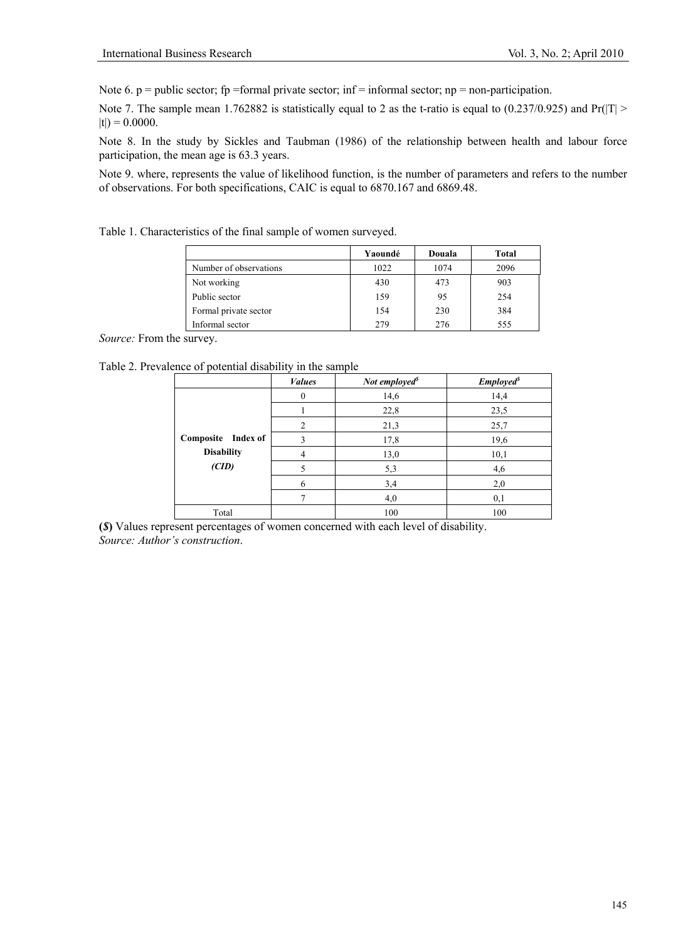Note 6.  $p =$  public sector; fp =formal private sector; inf = informal sector; np = non-participation.

Note 7. The sample mean 1.762882 is statistically equal to 2 as the t-ratio is equal to  $(0.237/0.925)$  and Pr(|T| >  $|t|$ ) = 0.0000.

Note 8. In the study by Sickles and Taubman (1986) of the relationship between health and labour force participation, the mean age is 63.3 years.

Note 9. where, represents the value of likelihood function, is the number of parameters and refers to the number of observations. For both specifications, CAIC is equal to 6870.167 and 6869.48.

Table 1. Characteristics of the final sample of women surveyed.

|                        | Yaoundé | Douala | Total |
|------------------------|---------|--------|-------|
| Number of observations | 1022    | 1074   | 2096  |
| Not working            | 430     | 473    | 903   |
| Public sector          | 159     | 95     | 254   |
| Formal private sector  | 154     | 230    | 384   |
| Informal sector        | 279     | 276    | 555   |

*Source:* From the survey.

Table 2. Prevalence of potential disability in the sample

|                    | <b>Values</b>  | Not employed <sup>s</sup> | <b>Employed</b> <sup><i>s</i></sup> |
|--------------------|----------------|---------------------------|-------------------------------------|
|                    |                | 14,6                      | 14,4                                |
|                    |                | 22,8                      | 23,5                                |
|                    | $\overline{c}$ | 21,3                      | 25,7                                |
| Composite Index of | $\mathbf{R}$   | 17,8                      | 19,6                                |
| <b>Disability</b>  |                | 13,0                      | 10,1                                |
| (CID)              |                | 5,3                       | 4,6                                 |
|                    | 6              | 3,4                       | 2,0                                 |
|                    |                | 4,0                       | 0,1                                 |
| Total              |                | 100                       | 100                                 |

**(***\$***)** Values represent percentages of women concerned with each level of disability. *Source: Author's construction*.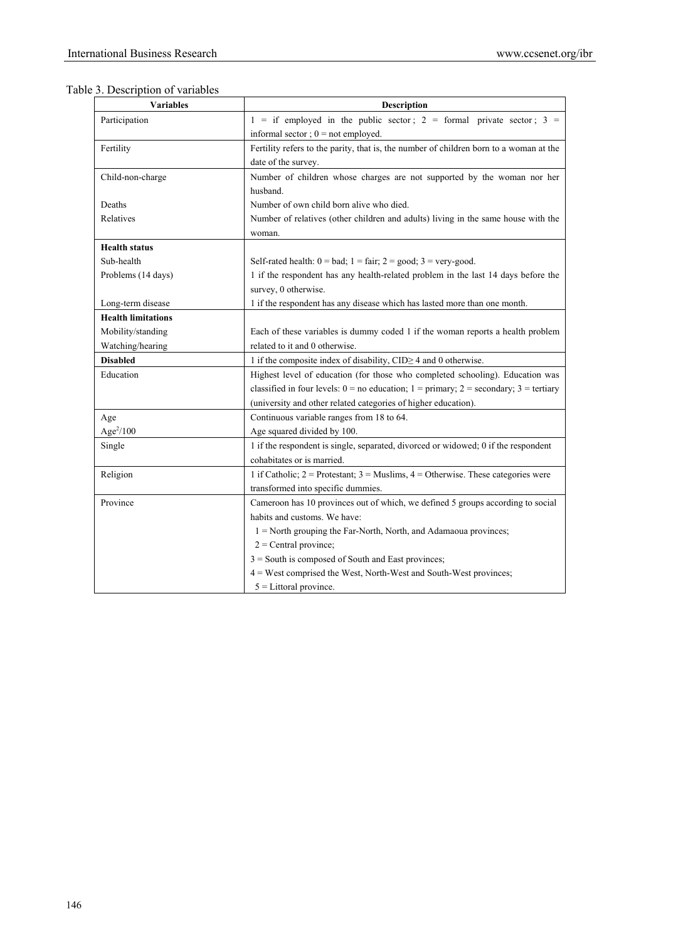|  |  |  |  | Table 3. Description of variables |
|--|--|--|--|-----------------------------------|
|--|--|--|--|-----------------------------------|

| <b>Variables</b>          | <b>Description</b>                                                                              |
|---------------------------|-------------------------------------------------------------------------------------------------|
| Participation             | $1 =$ if employed in the public sector; $2 =$ formal private sector; $3 =$                      |
|                           | informal sector; $0 = not$ employed.                                                            |
| Fertility                 | Fertility refers to the parity, that is, the number of children born to a woman at the          |
|                           | date of the survey.                                                                             |
| Child-non-charge          | Number of children whose charges are not supported by the woman nor her                         |
|                           | husband.                                                                                        |
| Deaths                    | Number of own child born alive who died.                                                        |
| Relatives                 | Number of relatives (other children and adults) living in the same house with the               |
|                           | woman.                                                                                          |
| <b>Health status</b>      |                                                                                                 |
| Sub-health                | Self-rated health: $0 = bad$ ; $1 = fair$ ; $2 = good$ ; $3 = very-good$ .                      |
| Problems (14 days)        | 1 if the respondent has any health-related problem in the last 14 days before the               |
|                           | survey, 0 otherwise.                                                                            |
| Long-term disease         | 1 if the respondent has any disease which has lasted more than one month.                       |
| <b>Health limitations</b> |                                                                                                 |
| Mobility/standing         | Each of these variables is dummy coded 1 if the woman reports a health problem                  |
| Watching/hearing          | related to it and 0 otherwise.                                                                  |
| <b>Disabled</b>           | 1 if the composite index of disability, $CID \ge 4$ and 0 otherwise.                            |
| Education                 | Highest level of education (for those who completed schooling). Education was                   |
|                           | classified in four levels: $0 = no$ education; $1 = primary$ ; $2 = secondary$ ; $3 = tetriary$ |
|                           | (university and other related categories of higher education).                                  |
| Age                       | Continuous variable ranges from 18 to 64.                                                       |
| Age $^{2}/100$            | Age squared divided by 100.                                                                     |
| Single                    | 1 if the respondent is single, separated, divorced or widowed; 0 if the respondent              |
|                           | cohabitates or is married.                                                                      |
| Religion                  | 1 if Catholic; $2 =$ Protestant; $3 =$ Muslims, $4 =$ Otherwise. These categories were          |
|                           | transformed into specific dummies.                                                              |
| Province                  | Cameroon has 10 provinces out of which, we defined 5 groups according to social                 |
|                           | habits and customs. We have:                                                                    |
|                           | 1 = North grouping the Far-North, North, and Adamaoua provinces;                                |
|                           | $2$ = Central province;                                                                         |
|                           | 3 = South is composed of South and East provinces;                                              |
|                           | 4 = West comprised the West, North-West and South-West provinces;                               |
|                           | $5 =$ Littoral province.                                                                        |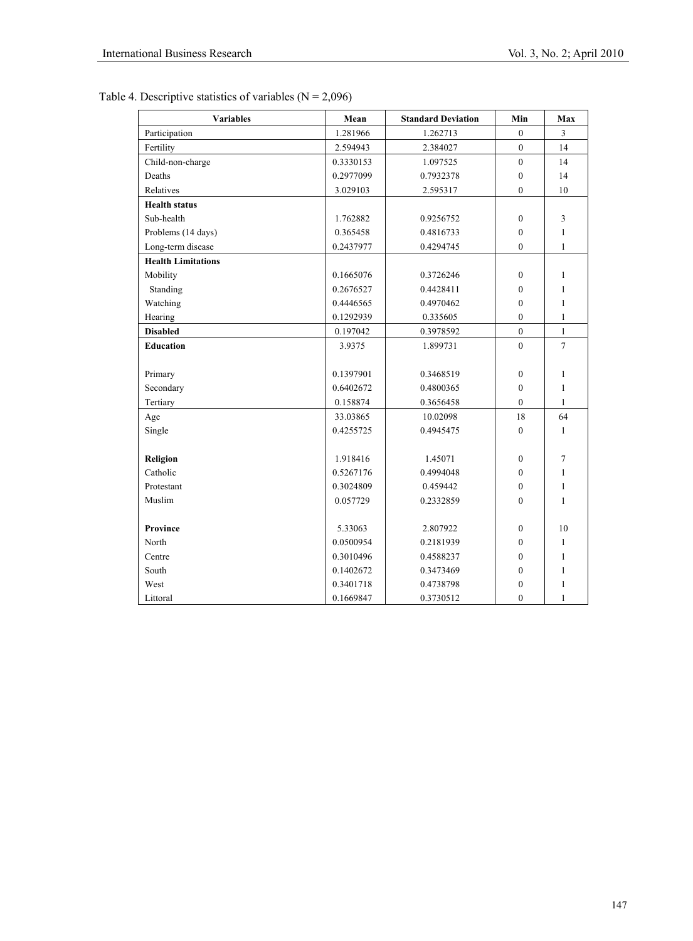| <b>Variables</b>          | Mean      | <b>Standard Deviation</b> | Min              | Max            |
|---------------------------|-----------|---------------------------|------------------|----------------|
| Participation             | 1.281966  | 1.262713                  | $\mathbf{0}$     | 3              |
| Fertility                 | 2.594943  | 2.384027                  | $\overline{0}$   | 14             |
| Child-non-charge          | 0.3330153 | 1.097525                  | $\mathbf{0}$     | 14             |
| Deaths                    | 0.2977099 | 0.7932378                 | $\theta$         | 14             |
| Relatives                 | 3.029103  | 2.595317                  | $\mathbf{0}$     | 10             |
| <b>Health status</b>      |           |                           |                  |                |
| Sub-health                | 1.762882  | 0.9256752                 | $\mathbf{0}$     | 3              |
| Problems (14 days)        | 0.365458  | 0.4816733                 | $\mathbf{0}$     | $\mathbf{1}$   |
| Long-term disease         | 0.2437977 | 0.4294745                 | $\mathbf{0}$     | $\mathbf{1}$   |
| <b>Health Limitations</b> |           |                           |                  |                |
| Mobility                  | 0.1665076 | 0.3726246                 | $\theta$         | 1              |
| Standing                  | 0.2676527 | 0.4428411                 | $\mathbf{0}$     | 1              |
| Watching                  | 0.4446565 | 0.4970462                 | $\theta$         | 1              |
| Hearing                   | 0.1292939 | 0.335605                  | $\mathbf{0}$     | $\mathbf{1}$   |
| <b>Disabled</b>           | 0.197042  | 0.3978592                 | $\boldsymbol{0}$ | $\mathbf{1}$   |
| <b>Education</b>          | 3.9375    | 1.899731                  | $\mathbf{0}$     | $\overline{7}$ |
|                           |           |                           |                  |                |
| Primary                   | 0.1397901 | 0.3468519                 | $\mathbf{0}$     | 1              |
| Secondary                 | 0.6402672 | 0.4800365                 | $\boldsymbol{0}$ | $\mathbf{1}$   |
| Tertiary                  | 0.158874  | 0.3656458                 | $\mathbf{0}$     | $\mathbf{1}$   |
| Age                       | 33.03865  | 10.02098                  | 18               | 64             |
| Single                    | 0.4255725 | 0.4945475                 | $\theta$         | $\mathbf{1}$   |
|                           |           |                           |                  |                |
| Religion                  | 1.918416  | 1.45071                   | $\boldsymbol{0}$ | $\tau$         |
| Catholic                  | 0.5267176 | 0.4994048                 | $\boldsymbol{0}$ | 1              |
| Protestant                | 0.3024809 | 0.459442                  | $\mathbf{0}$     | 1              |
| Muslim                    | 0.057729  | 0.2332859                 | $\mathbf{0}$     | 1              |
|                           |           |                           |                  |                |
| <b>Province</b>           | 5.33063   | 2.807922                  | $\mathbf{0}$     | 10             |
| North                     | 0.0500954 | 0.2181939                 | $\theta$         | $\mathbf{1}$   |
| Centre                    | 0.3010496 | 0.4588237                 | $\mathbf{0}$     | $\mathbf{1}$   |
| South                     | 0.1402672 | 0.3473469                 | $\mathbf{0}$     | 1              |
| West                      | 0.3401718 | 0.4738798                 | $\boldsymbol{0}$ | 1              |
| Littoral                  | 0.1669847 | 0.3730512                 | $\mathbf{0}$     | $\mathbf{1}$   |

Table 4. Descriptive statistics of variables  $(N = 2,096)$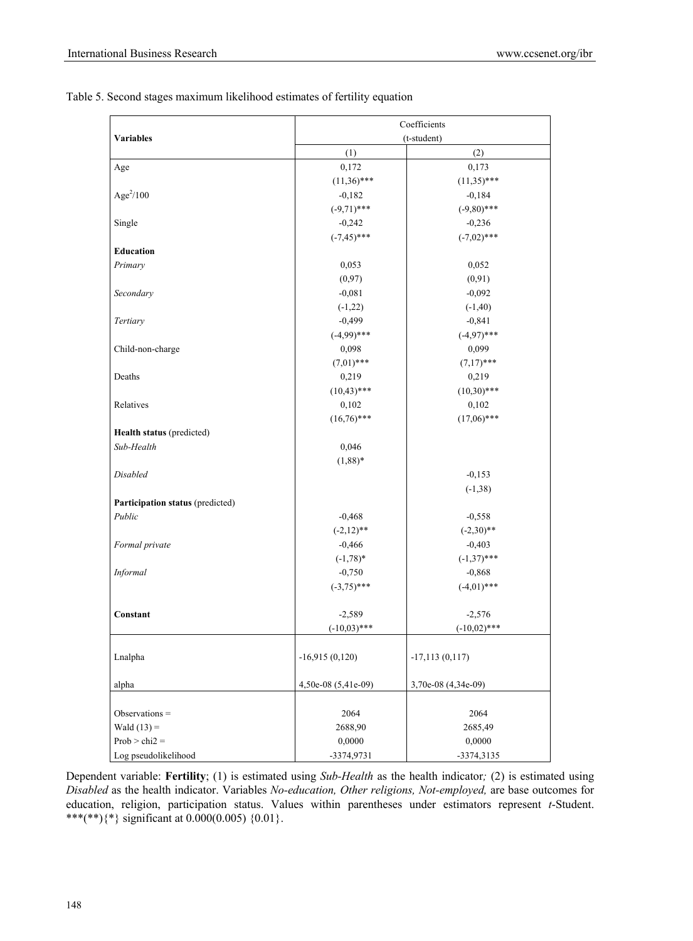|                                  | Coefficients        |                     |  |
|----------------------------------|---------------------|---------------------|--|
| <b>Variables</b>                 |                     | (t-student)         |  |
|                                  | (1)                 | (2)                 |  |
| Age                              | 0,172               | 0,173               |  |
|                                  | $(11,36)$ ***       | $(11,35)$ ***       |  |
| Age $^{2}/100$                   | $-0,182$            | $-0,184$            |  |
|                                  | $(-9,71)$ ***       | $(-9,80)$ ***       |  |
| Single                           | $-0,242$            | $-0,236$            |  |
|                                  | $(-7, 45)$ ***      | $(-7,02)$ ***       |  |
| <b>Education</b>                 |                     |                     |  |
| Primary                          | 0,053               | 0,052               |  |
|                                  | (0,97)              | (0, 91)             |  |
| Secondary                        | $-0,081$            | $-0,092$            |  |
|                                  | $(-1,22)$           | $(-1, 40)$          |  |
| Tertiary                         | $-0,499$            | $-0,841$            |  |
|                                  | $(-4,99)$ ***       | $(-4,97)$ ***       |  |
| Child-non-charge                 | 0,098               | 0,099               |  |
|                                  | $(7,01)$ ***        | $(7,17)$ ***        |  |
| Deaths                           | 0,219               | 0,219               |  |
|                                  | $(10, 43)$ ***      | $(10,30)$ ***       |  |
| Relatives                        | 0,102               | 0,102               |  |
|                                  | $(16,76)$ ***       | $(17,06)$ ***       |  |
| Health status (predicted)        |                     |                     |  |
| Sub-Health                       | 0,046               |                     |  |
|                                  | $(1,88)$ *          |                     |  |
| Disabled                         |                     | $-0,153$            |  |
|                                  |                     | $(-1, 38)$          |  |
| Participation status (predicted) |                     |                     |  |
| Public                           | $-0,468$            | $-0,558$            |  |
|                                  | $(-2,12)$ **        | $(-2,30)**$         |  |
| Formal private                   | $-0,466$            | $-0,403$            |  |
|                                  | $(-1, 78)^*$        | $(-1,37)$ ***       |  |
| Informal                         | $-0,750$            | $-0,868$            |  |
|                                  | $(-3,75)$ ***       | $(-4,01)$ ***       |  |
|                                  |                     |                     |  |
| Constant                         | $-2,589$            | $-2,576$            |  |
|                                  | $(-10,03)$ ***      | $(-10,02)$ ***      |  |
|                                  |                     |                     |  |
| Lnalpha                          | $-16,915(0,120)$    | $-17,113(0,117)$    |  |
|                                  |                     |                     |  |
| alpha                            | 4,50e-08 (5,41e-09) | 3,70e-08 (4,34e-09) |  |
|                                  |                     |                     |  |
| Observations =                   | 2064                | 2064                |  |
| Wald $(13)$ =                    | 2688,90             | 2685,49             |  |
| $Prob > chi2 =$                  | 0,0000              | 0,0000              |  |
| Log pseudolikelihood             | -3374,9731          | -3374,3135          |  |

Table 5. Second stages maximum likelihood estimates of fertility equation

Dependent variable: **Fertility**; (1) is estimated using *Sub-Health* as the health indicator*;* (2) is estimated using *Disabled* as the health indicator. Variables *No-education, Other religions, Not-employed,* are base outcomes for education, religion, participation status. Values within parentheses under estimators represent *t*-Student. \*\*\*(\*\*){\*} significant at  $0.000(0.005)$  {0.01}.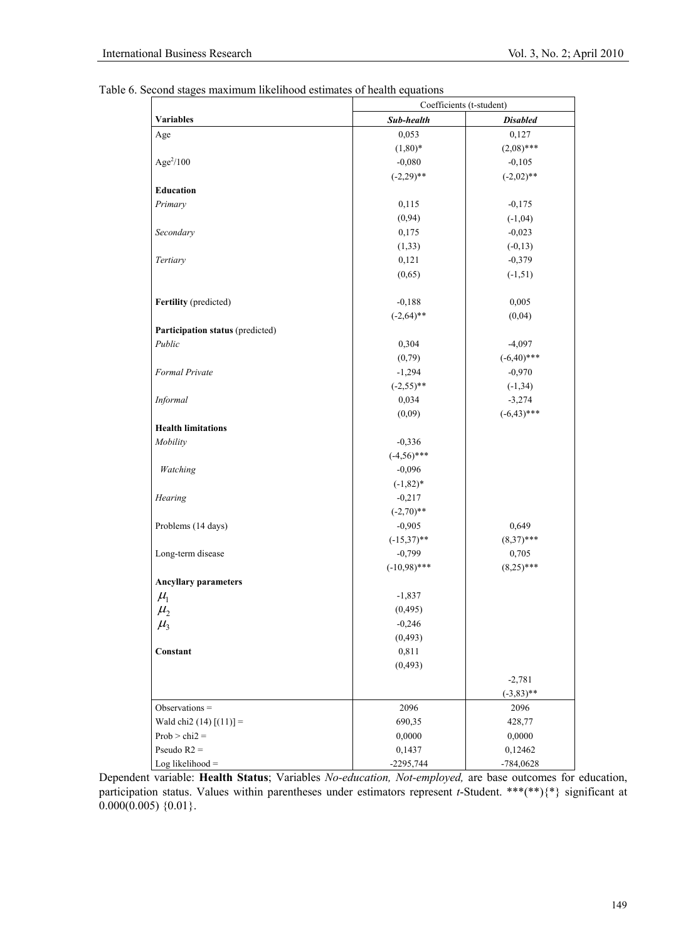Table 6. Second stages maximum likelihood estimates of health equations

|                                  | Coefficients (t-student) |                 |  |  |
|----------------------------------|--------------------------|-----------------|--|--|
| <b>Variables</b>                 | Sub-health               | <b>Disabled</b> |  |  |
| Age                              | 0,053                    | 0,127           |  |  |
|                                  | $(1,80)*$                | $(2,08)$ ***    |  |  |
| $Age^2/100$                      | $-0,080$                 | $-0,105$        |  |  |
|                                  | $(-2,29)$ **             | $(-2,02)$ **    |  |  |
| Education                        |                          |                 |  |  |
| Primary                          | 0,115                    | $-0,175$        |  |  |
|                                  | (0, 94)                  | $(-1,04)$       |  |  |
| Secondary                        | 0,175                    | $-0,023$        |  |  |
|                                  | (1, 33)                  | $(-0,13)$       |  |  |
| Tertiary                         | 0,121                    | $-0,379$        |  |  |
|                                  | (0,65)                   | $(-1, 51)$      |  |  |
| Fertility (predicted)            | $-0,188$                 | 0,005           |  |  |
|                                  | $(-2,64)$ **             | (0,04)          |  |  |
| Participation status (predicted) |                          |                 |  |  |
| Public                           | 0,304                    | $-4,097$        |  |  |
|                                  | (0,79)                   | $(-6,40)$ ***   |  |  |
| Formal Private                   | $-1,294$                 | $-0,970$        |  |  |
|                                  | $(-2,55)$ **             | $(-1, 34)$      |  |  |
| Informal                         | 0,034                    | $-3,274$        |  |  |
|                                  | (0,09)                   | $(-6, 43)$ ***  |  |  |
| <b>Health limitations</b>        |                          |                 |  |  |
| Mobility                         | $-0,336$                 |                 |  |  |
|                                  | $(-4,56)$ ***            |                 |  |  |
| Watching                         | $-0,096$                 |                 |  |  |
|                                  | $(-1, 82)^*$             |                 |  |  |
| Hearing                          | $-0,217$                 |                 |  |  |
|                                  | $(-2,70)**$              |                 |  |  |
| Problems (14 days)               | $-0,905$                 | 0,649           |  |  |
|                                  | $(-15,37)$ **            | $(8,37)$ ***    |  |  |
| Long-term disease                | $-0,799$                 | 0,705           |  |  |
|                                  | $(-10,98)$ ***           | $(8,25)$ ***    |  |  |
| <b>Ancyllary parameters</b>      |                          |                 |  |  |
| $\mu_{\rm l}$                    | $-1,837$                 |                 |  |  |
| $\mu_{2}$                        | (0, 495)                 |                 |  |  |
| $\mu$ <sub>3</sub>               | $-0,246$                 |                 |  |  |
|                                  | (0, 493)                 |                 |  |  |
| Constant                         | 0,811                    |                 |  |  |
|                                  | (0, 493)                 |                 |  |  |
|                                  |                          | $-2,781$        |  |  |
|                                  |                          | $(-3,83)$ **    |  |  |
| Observations $=$                 | 2096                     | 2096            |  |  |
| Wald chi2 $(14)$ $[(11)] =$      | 690,35                   | 428,77          |  |  |
| $Prob > chi2 =$                  | 0,0000                   | 0,0000          |  |  |
| Pseudo $R2 =$                    | 0,1437                   | 0,12462         |  |  |
| Log likelihood $=$               | $-2295,744$              | $-784,0628$     |  |  |

Dependent variable: **Health Status**; Variables *No-education, Not-employed,* are base outcomes for education, participation status. Values within parentheses under estimators represent *t*-Student. \*\*\*(\*\*){\*} significant at  $0.000(0.005)$  {0.01}.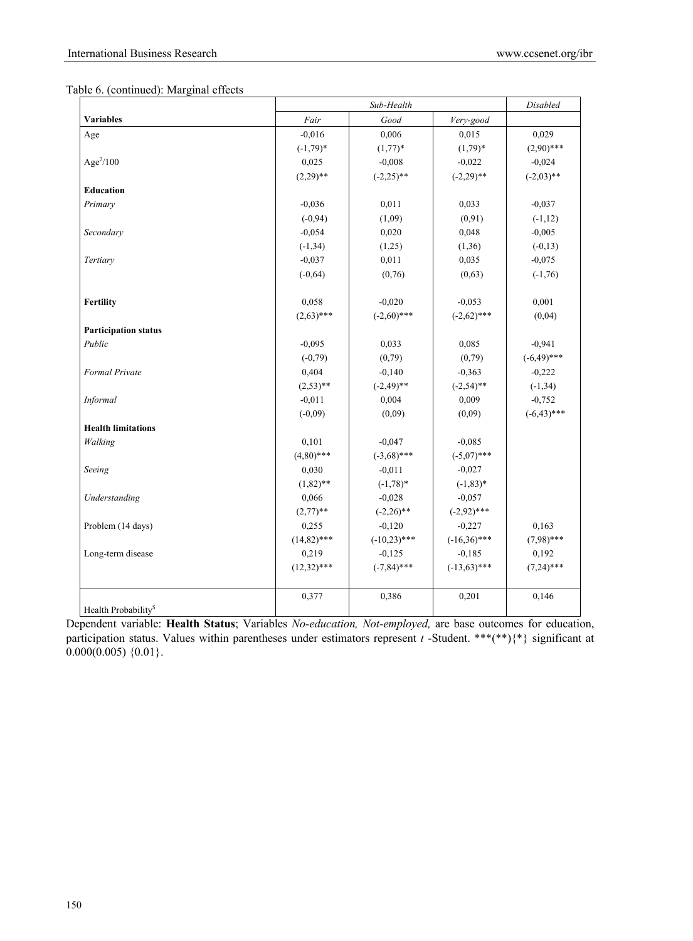| Table 6. (continued): Marginal effects |  |  |  |  |
|----------------------------------------|--|--|--|--|
|----------------------------------------|--|--|--|--|

|                                 |               | Disabled       |                |                |
|---------------------------------|---------------|----------------|----------------|----------------|
| <b>Variables</b>                | Fair          | Good           | Very-good      |                |
| Age                             | $-0.016$      | 0,006          | 0,015          | 0,029          |
|                                 | $(-1,79)*$    | $(1,77)^*$     | $(1,79)^*$     | $(2,90)$ ***   |
| Age $^{2}/100$                  | 0,025         | $-0,008$       | $-0,022$       | $-0,024$       |
|                                 | $(2,29)$ **   | $(-2,25)$ **   | $(-2,29)$ **   | $(-2,03)$ **   |
| <b>Education</b>                |               |                |                |                |
| Primary                         | $-0,036$      | 0,011          | 0,033          | $-0,037$       |
|                                 | $(-0, 94)$    | (1,09)         | (0,91)         | $(-1, 12)$     |
| Secondary                       | $-0,054$      | 0,020          | 0,048          | $-0,005$       |
|                                 | $(-1, 34)$    | (1,25)         | (1,36)         | $(-0,13)$      |
| Tertiary                        | $-0.037$      | 0,011          | 0,035          | $-0,075$       |
|                                 | $(-0,64)$     | (0,76)         | (0,63)         | $(-1,76)$      |
|                                 |               |                |                |                |
| Fertility                       | 0,058         | $-0,020$       | $-0,053$       | 0,001          |
|                                 | $(2,63)$ ***  | $(-2,60)$ ***  | $(-2,62)$ ***  | (0,04)         |
| <b>Participation status</b>     |               |                |                |                |
| Public                          | $-0,095$      | 0,033          | 0,085          | $-0,941$       |
|                                 | $(-0, 79)$    | (0,79)         | (0,79)         | $(-6,49)$ ***  |
| Formal Private                  | 0,404         | $-0,140$       | $-0,363$       | $-0,222$       |
|                                 | $(2,53)$ **   | $(-2, 49)$ **  | $(-2,54)$ **   | $(-1, 34)$     |
| <b>Informal</b>                 | $-0,011$      | 0,004          | 0,009          | $-0,752$       |
|                                 | $(-0.09)$     | (0.09)         | (0.09)         | $(-6, 43)$ *** |
| <b>Health limitations</b>       |               |                |                |                |
| Walking                         | 0,101         | $-0,047$       | $-0,085$       |                |
|                                 | $(4,80)$ ***  | $(-3,68)$ ***  | $(-5.07)$ ***  |                |
| Seeing                          | 0,030         | $-0,011$       | $-0,027$       |                |
|                                 | $(1,82)$ **   | $(-1,78)*$     | $(-1, 83)*$    |                |
| Understanding                   | 0,066         | $-0,028$       | $-0,057$       |                |
|                                 | $(2,77)$ **   | $(-2,26)$ **   | $(-2,92)$ ***  |                |
| Problem (14 days)               | 0,255         | $-0,120$       | $-0,227$       | 0,163          |
|                                 | $(14,82)$ *** | $(-10,23)$ *** | $(-16,36)$ *** | $(7,98)$ ***   |
| Long-term disease               | 0,219         | $-0,125$       | $-0,185$       | 0,192          |
|                                 | $(12,32)$ *** | $(-7, 84)$ *** | $(-13,63)$ *** | $(7,24)$ ***   |
|                                 | 0,377         | 0,386          | 0,201          | 0,146          |
| Health Probability <sup>§</sup> |               |                |                |                |

Dependent variable: **Health Status**; Variables *No-education, Not-employed,* are base outcomes for education, participation status. Values within parentheses under estimators represent *t* -Student. \*\*\*(\*\*){\*} significant at  $0.000(0.005)$  {0.01}.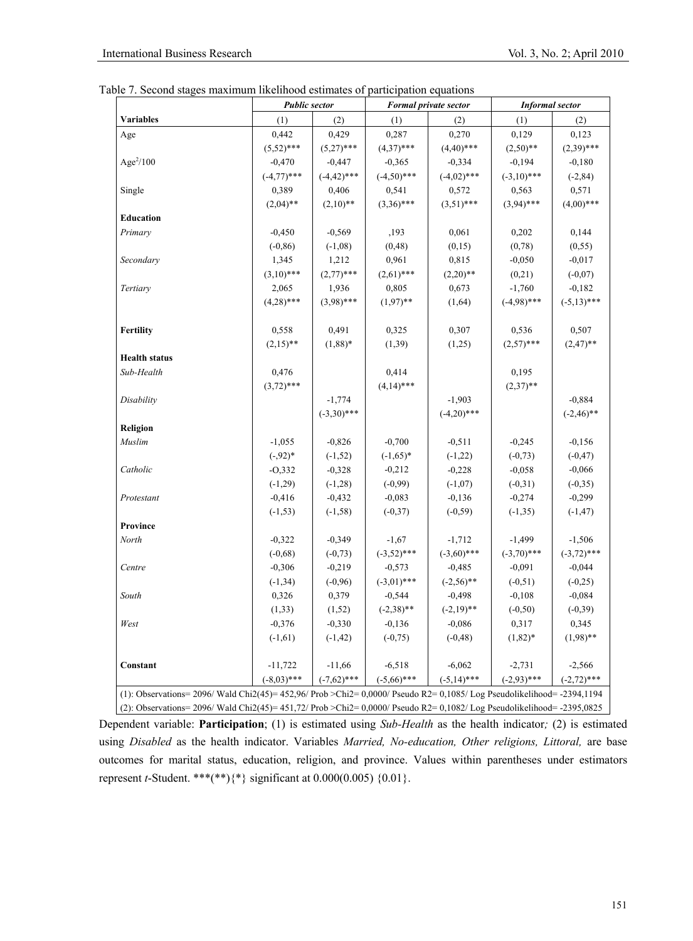|  | Table 7. Second stages maximum likelihood estimates of participation equations |  |  |  |
|--|--------------------------------------------------------------------------------|--|--|--|
|  |                                                                                |  |  |  |

|                                                                                                                           | <b>Public sector</b> |                | Formal private sector |               | <b>Informal</b> sector |               |
|---------------------------------------------------------------------------------------------------------------------------|----------------------|----------------|-----------------------|---------------|------------------------|---------------|
| Variables                                                                                                                 | (1)                  | (2)            | (1)                   | (2)           | (1)                    | (2)           |
| Age                                                                                                                       | 0,442                | 0,429          | 0,287                 | 0,270         | 0,129                  | 0,123         |
|                                                                                                                           | $(5,52)$ ***         | $(5,27)$ ***   | $(4,37)$ ***          | $(4,40)$ ***  | $(2,50)$ **            | $(2,39)$ ***  |
| Age $^{2}/100$                                                                                                            | $-0,470$             | $-0,447$       | $-0,365$              | $-0,334$      | $-0,194$               | $-0,180$      |
|                                                                                                                           | $(-4,77)$ ***        | $(-4, 42)$ *** | $(-4,50)$ ***         | $(-4,02)$ *** | $(-3,10)$ ***          | $(-2, 84)$    |
| Single                                                                                                                    | 0,389                | 0,406          | 0,541                 | 0,572         | 0,563                  | 0,571         |
|                                                                                                                           | $(2,04)$ **          | $(2,10)**$     | $(3,36)$ ***          | $(3,51)$ ***  | $(3,94)$ ***           | $(4,00)$ ***  |
| <b>Education</b>                                                                                                          |                      |                |                       |               |                        |               |
| Primary                                                                                                                   | $-0,450$             | $-0,569$       | ,193                  | 0,061         | 0,202                  | 0,144         |
|                                                                                                                           | $(-0, 86)$           | $(-1,08)$      | (0, 48)               | (0,15)        | (0, 78)                | (0, 55)       |
| Secondary                                                                                                                 | 1,345                | 1,212          | 0,961                 | 0,815         | $-0,050$               | $-0,017$      |
|                                                                                                                           | $(3,10)$ ***         | $(2,77)$ ***   | $(2,61)$ ***          | $(2,20)$ **   | (0,21)                 | $(-0,07)$     |
| Tertiary                                                                                                                  | 2,065                | 1,936          | 0,805                 | 0,673         | $-1,760$               | $-0,182$      |
|                                                                                                                           | $(4,28)$ ***         | $(3,98)$ ***   | $(1,97)$ **           | (1,64)        | $(-4.98)$ ***          | $(-5,13)$ *** |
| Fertility                                                                                                                 | 0,558                | 0,491          | 0,325                 | 0,307         | 0,536                  | 0,507         |
|                                                                                                                           | $(2,15)$ **          | $(1,88)*$      | (1, 39)               | (1,25)        | $(2.57)$ ***           | $(2,47)$ **   |
| <b>Health status</b>                                                                                                      |                      |                |                       |               |                        |               |
| Sub-Health                                                                                                                | 0,476                |                | 0,414                 |               | 0,195                  |               |
|                                                                                                                           | $(3,72)$ ***         |                | $(4,14)$ ***          |               | $(2,37)$ **            |               |
| Disability                                                                                                                |                      | $-1,774$       |                       | $-1,903$      |                        | $-0,884$      |
|                                                                                                                           |                      | $(-3,30)$ ***  |                       | $(-4,20)$ *** |                        | $(-2, 46)$ ** |
| Religion                                                                                                                  |                      |                |                       |               |                        |               |
| Muslim                                                                                                                    | $-1,055$             | $-0,826$       | $-0,700$              | $-0,511$      | $-0,245$               | $-0,156$      |
|                                                                                                                           | $(-,92)*$            | $(-1, 52)$     | $(-1,65)*$            | $(-1,22)$     | $(-0, 73)$             | $(-0, 47)$    |
| Catholic                                                                                                                  | $-0,332$             | $-0,328$       | $-0,212$              | $-0,228$      | $-0,058$               | $-0,066$      |
|                                                                                                                           | $(-1,29)$            | $(-1, 28)$     | $(-0,99)$             | $(-1,07)$     | $(-0,31)$              | $(-0, 35)$    |
| Protestant                                                                                                                | $-0,416$             | $-0,432$       | $-0,083$              | $-0,136$      | $-0,274$               | $-0,299$      |
|                                                                                                                           | $(-1, 53)$           | $(-1, 58)$     | $(-0, 37)$            | $(-0, 59)$    | $(-1, 35)$             | $(-1, 47)$    |
| Province                                                                                                                  |                      |                |                       |               |                        |               |
| North                                                                                                                     | $-0,322$             | $-0,349$       | $-1,67$               | $-1,712$      | $-1,499$               | $-1,506$      |
|                                                                                                                           | $(-0,68)$            | $(-0, 73)$     | $(-3,52)$ ***         | $(-3,60)$ *** | $(-3,70)$ ***          | $(-3,72)$ *** |
| Centre                                                                                                                    | $-0,306$             | $-0,219$       | $-0,573$              | $-0,485$      | $-0,091$               | $-0,044$      |
|                                                                                                                           | $(-1, 34)$           | $(-0,96)$      | $(-3,01)$ ***         | $(-2,56)$ **  | $(-0, 51)$             | $(-0,25)$     |
| South                                                                                                                     | 0,326                | 0,379          | $-0,544$              | $-0,498$      | $-0,108$               | $-0,084$      |
|                                                                                                                           | (1, 33)              | (1,52)         | $(-2,38)$ **          | $(-2,19)$ **  | $(-0, 50)$             | $(-0, 39)$    |
| West                                                                                                                      | $-0,376$             | $-0,330$       | $-0,136$              | $-0,086$      | 0,317                  | 0,345         |
|                                                                                                                           | $(-1,61)$            | $(-1, 42)$     | $(-0, 75)$            | $(-0, 48)$    | $(1,82)*$              | $(1,98)$ **   |
| Constant                                                                                                                  | $-11,722$            | $-11,66$       | $-6,518$              | $-6,062$      | $-2,731$               | $-2,566$      |
|                                                                                                                           | $(-8,03)$ ***        | $(-7,62)$ ***  | $(-5,66)$ ***         | $(-5,14)$ *** | $(-2,93)$ ***          | $(-2,72)$ *** |
| (1): Observations= 2096/ Wald Chi2(45)= $452,96/$ Prob >Chi2= 0,0000/ Pseudo R2= 0,1085/ Log Pseudolikelihood= -2394,1194 |                      |                |                       |               |                        |               |

(2): Observations= 2096/ Wald Chi2(45)= 451,72/ Prob >Chi2= 0,0000/ Pseudo R2= 0,1082/ Log Pseudolikelihood= -2395,0825

Dependent variable: **Participation**; (1) is estimated using *Sub-Health* as the health indicator*;* (2) is estimated using *Disabled* as the health indicator. Variables *Married, No-education, Other religions, Littoral,* are base outcomes for marital status, education, religion, and province. Values within parentheses under estimators represent *t*-Student. \*\*\*(\*\*){\*} significant at 0.000(0.005) {0.01}.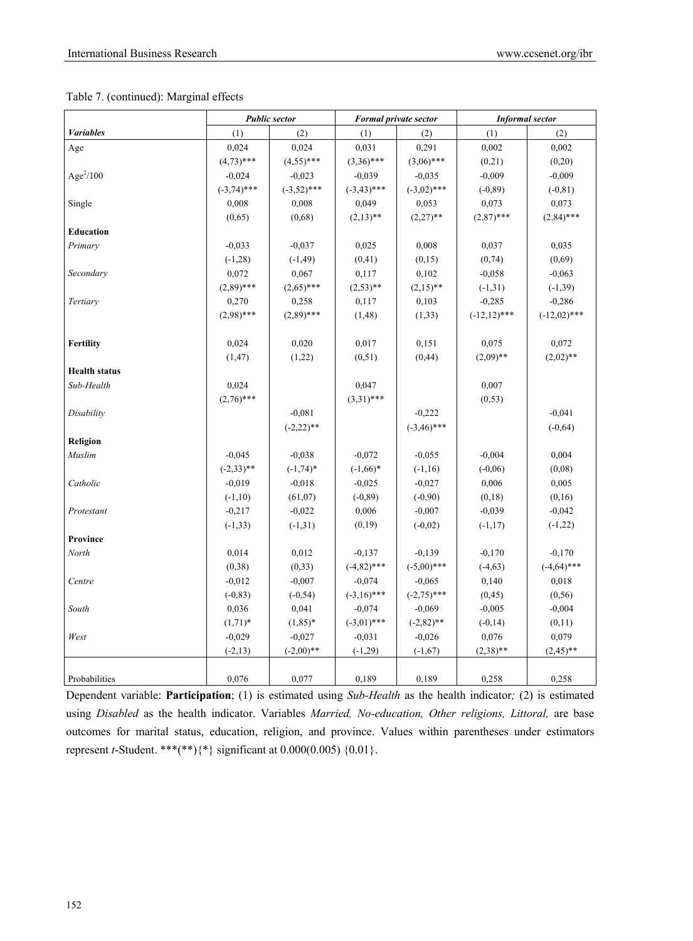## Table 7. (continued): Marginal effects

|                         |               | <b>Public sector</b> | <b>Formal private sector</b> |               | <b>Informal</b> sector |                |
|-------------------------|---------------|----------------------|------------------------------|---------------|------------------------|----------------|
| <b><i>Variables</i></b> | (1)           | (2)                  | (1)                          | (2)           | (1)                    | (2)            |
| Age                     | 0,024         | 0,024                | 0,031                        | 0,291         | 0,002                  | 0,002          |
|                         | $(4,73)$ ***  | $(4,55)$ ***         | $(3,36)$ ***                 | $(3,06)$ ***  | (0, 21)                | (0,20)         |
| $Age^2/100$             | $-0,024$      | $-0,023$             | $-0,039$                     | $-0,035$      | $-0,009$               | $-0,009$       |
|                         | $(-3,74)$ *** | $(-3,52)$ ***        | $(-3,43)$ ***                | $(-3,02)$ *** | $(-0, 89)$             | $(-0, 81)$     |
| Single                  | 0,008         | 0,008                | 0,049                        | 0,053         | 0,073                  | 0,073          |
|                         | (0,65)        | (0,68)               | $(2,13)$ **                  | $(2,27)$ **   | $(2,87)$ ***           | $(2,84)$ ***   |
| Education               |               |                      |                              |               |                        |                |
| Primary                 | $-0,033$      | $-0,037$             | 0,025                        | 0,008         | 0,037                  | 0,035          |
|                         | $(-1,28)$     | $(-1, 49)$           | (0, 41)                      | (0,15)        | (0, 74)                | (0,69)         |
| Secondary               | 0,072         | 0,067                | 0,117                        | 0,102         | $-0,058$               | $-0,063$       |
|                         | $(2,89)$ ***  | $(2,65)$ ***         | $(2,53)$ **                  | $(2,15)$ **   | $(-1, 31)$             | $(-1, 39)$     |
| Tertiary                | 0,270         | 0,258                | 0,117                        | 0,103         | $-0,285$               | $-0,286$       |
|                         | $(2,98)$ ***  | $(2,89)$ ***         | (1, 48)                      | (1, 33)       | $(-12,12)$ ***         | $(-12,02)$ *** |
|                         |               |                      |                              |               |                        |                |
| Fertility               | 0,024         | 0,020                | 0,017                        | 0,151         | 0,075                  | 0,072          |
|                         | (1, 47)       | (1,22)               | (0,51)                       | (0, 44)       | $(2,09)$ **            | $(2,02)$ **    |
| <b>Health status</b>    |               |                      |                              |               |                        |                |
| Sub-Health              | 0,024         |                      | 0,047                        |               | 0,007                  |                |
|                         | $(2,76)$ ***  |                      | $(3,31)$ ***                 |               | (0, 53)                |                |
| Disability              |               | $-0,081$             |                              | $-0,222$      |                        | $-0,041$       |
|                         |               | $(-2,22)$ **         |                              | $(-3,46)$ *** |                        | $(-0, 64)$     |
| Religion                |               |                      |                              |               |                        |                |
| Muslim                  | $-0,045$      | $-0,038$             | $-0,072$                     | $-0,055$      | $-0,004$               | 0,004          |
|                         | $(-2,33)**$   | $(-1, 74)*$          | $(-1,66)*$                   | $(-1, 16)$    | $(-0,06)$              | (0,08)         |
| Catholic                | $-0,019$      | $-0,018$             | $-0,025$                     | $-0,027$      | 0,006                  | 0,005          |
|                         | $(-1,10)$     | (61, 07)             | $(-0, 89)$                   | $(-0,90)$     | (0,18)                 | (0,16)         |
| Protestant              | $-0,217$      | $-0,022$             | 0,006                        | $-0,007$      | $-0,039$               | $-0,042$       |
|                         | $(-1, 33)$    | $(-1,31)$            | (0,19)                       | $(-0,02)$     | $(-1,17)$              | $(-1,22)$      |
| Province                |               |                      |                              |               |                        |                |
| North                   | 0,014         | 0,012                | $-0,137$                     | $-0,139$      | $-0,170$               | $-0,170$       |
|                         | (0, 38)       | (0, 33)              | $(-4,82)$ ***                | $(-5,00)$ *** | $(-4, 63)$             | $(-4,64)$ ***  |
| Centre                  | $-0,012$      | $-0,007$             | $-0,074$                     | $-0,065$      | 0,140                  | 0,018          |
|                         | $(-0, 83)$    | $(-0, 54)$           | $(-3,16)$ ***                | $(-2,75)$ *** | (0, 45)                | (0, 56)        |
| South                   | 0,036         | 0,041                | $-0,074$                     | $-0,069$      | $-0,005$               | $-0,004$       |
|                         | $(1,71)^*$    | $(1,85)^*$           | $(-3,01)$ ***                | $(-2,82)$ **  | $(-0,14)$              | (0,11)         |
| West                    | $-0,029$      | $-0,027$             | $-0,031$                     | $-0,026$      | 0,076                  | 0,079          |
|                         | $(-2, 13)$    | $(-2,00)**$          | $(-1,29)$                    | $(-1,67)$     | $(2,38)$ **            | $(2,45)$ **    |
|                         |               |                      |                              |               |                        |                |
| Probabilities           | 0,076         | 0,077                | 0,189                        | 0,189         | 0,258                  | 0,258          |

Dependent variable: **Participation**; (1) is estimated using *Sub-Health* as the health indicator*;* (2) is estimated using *Disabled* as the health indicator. Variables *Married, No-education, Other religions, Littoral,* are base outcomes for marital status, education, religion, and province. Values within parentheses under estimators represent *t*-Student. \*\*\*(\*\*){\*} significant at 0.000(0.005) {0.01}.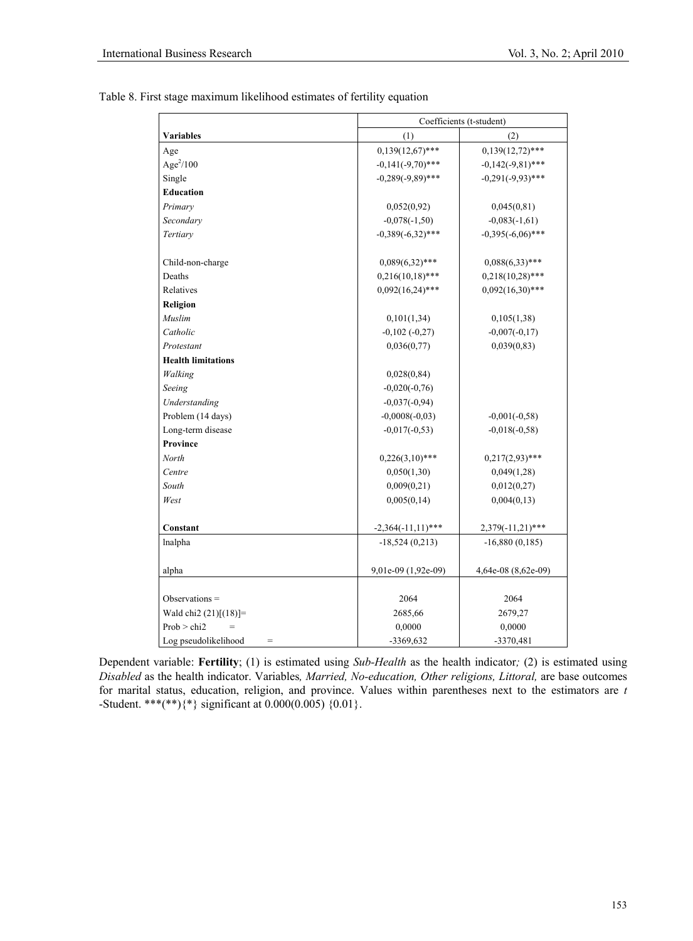|                             | Coefficients (t-student) |                     |  |
|-----------------------------|--------------------------|---------------------|--|
| <b>Variables</b>            | (1)<br>(2)               |                     |  |
| Age                         | $0,139(12,67)$ ***       | $0,139(12,72)$ ***  |  |
| $Age^2/100$                 | $-0,141(-9,70)$ ***      | $-0,142(-9,81)$ *** |  |
| Single                      | $-0,289(-9,89)$ ***      | $-0,291(-9,93)$ *** |  |
| Education                   |                          |                     |  |
| Primary                     | 0,052(0,92)              | 0,045(0,81)         |  |
| Secondary                   | $-0,078(-1,50)$          | $-0,083(-1,61)$     |  |
| Tertiary                    | $-0,389(-6,32)$ ***      | $-0,395(-6,06)$ *** |  |
|                             |                          |                     |  |
| Child-non-charge            | $0,089(6,32)$ ***        | $0,088(6,33)$ ***   |  |
| Deaths                      | $0,216(10,18)$ ***       | $0,218(10,28)$ ***  |  |
| Relatives                   | $0,092(16,24)$ ***       | $0,092(16,30)$ ***  |  |
| Religion                    |                          |                     |  |
| Muslim                      | 0,101(1,34)              | 0,105(1,38)         |  |
| Catholic                    | $-0,102(-0,27)$          | $-0,007(-0,17)$     |  |
| Protestant                  | 0,036(0,77)              | 0,039(0,83)         |  |
| <b>Health limitations</b>   |                          |                     |  |
| Walking                     | 0,028(0,84)              |                     |  |
| Seeing                      | $-0,020(-0,76)$          |                     |  |
| Understanding               | $-0,037(-0,94)$          |                     |  |
| Problem (14 days)           | $-0,0008(-0,03)$         | $-0,001(-0,58)$     |  |
| Long-term disease           | $-0,017(-0,53)$          | $-0,018(-0,58)$     |  |
| Province                    |                          |                     |  |
| North                       | $0,226(3,10)$ ***        | $0,217(2,93)$ ***   |  |
| Centre                      | 0,050(1,30)              | 0,049(1,28)         |  |
| South                       | 0,009(0,21)              | 0,012(0,27)         |  |
| West                        | 0,005(0,14)              | 0,004(0,13)         |  |
|                             |                          |                     |  |
| Constant                    | $-2,364(-11,11)$ ***     | 2,379(-11,21)***    |  |
| lnalpha                     | $-18,524(0,213)$         | $-16,880(0,185)$    |  |
|                             |                          |                     |  |
| alpha                       | 9,01e-09 (1,92e-09)      | 4,64e-08 (8,62e-09) |  |
|                             |                          |                     |  |
| Observations $=$            | 2064                     | 2064                |  |
| Wald chi2 (21)[(18)]=       | 2685,66                  | 2679,27             |  |
| Prob > chi2                 | 0,0000                   | 0,0000              |  |
| Log pseudolikelihood<br>$=$ | -3369,632                | $-3370,481$         |  |

Table 8. First stage maximum likelihood estimates of fertility equation

Dependent variable: **Fertility**; (1) is estimated using *Sub-Health* as the health indicator*;* (2) is estimated using *Disabled* as the health indicator. Variables*, Married, No-education, Other religions, Littoral,* are base outcomes for marital status, education, religion, and province. Values within parentheses next to the estimators are *t* -Student. \*\*\*(\*\*) $\{\ast\}$  significant at 0.000(0.005)  $\{0.01\}$ .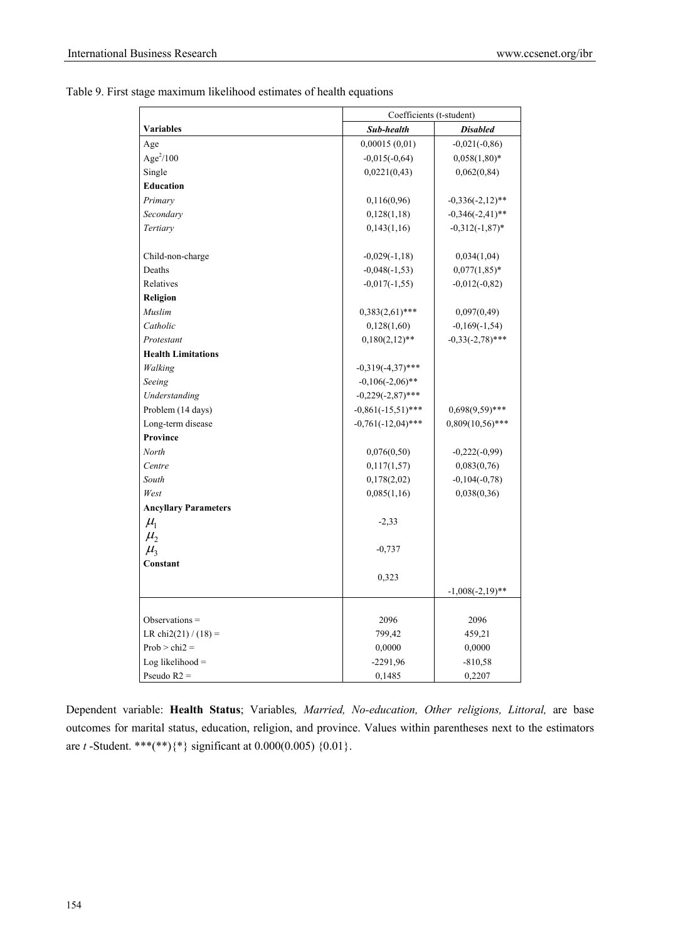| Table 9. First stage maximum likelihood estimates of health equations |  |  |  |
|-----------------------------------------------------------------------|--|--|--|
|                                                                       |  |  |  |

|                             | Coefficients (t-student) |                    |
|-----------------------------|--------------------------|--------------------|
| <b>Variables</b>            | Sub-health               | <b>Disabled</b>    |
| Age                         | 0,00015(0,01)            | $-0,021(-0,86)$    |
| Age $^{2}/100$              | $-0,015(-0,64)$          | $0,058(1,80)*$     |
| Single                      | 0,0221(0,43)             | 0,062(0,84)        |
| <b>Education</b>            |                          |                    |
| Primary                     | 0,116(0,96)              | $-0,336(-2,12)$ ** |
| Secondary                   | 0,128(1,18)              | $-0,346(-2,41)$ ** |
| Tertiary                    | 0,143(1,16)              | $-0,312(-1,87)$ *  |
|                             |                          |                    |
| Child-non-charge            | $-0,029(-1,18)$          | 0,034(1,04)        |
| Deaths                      | $-0,048(-1,53)$          | $0,077(1,85)^*$    |
| Relatives                   | $-0,017(-1,55)$          | $-0,012(-0,82)$    |
| Religion                    |                          |                    |
| Muslim                      | $0,383(2,61)$ ***        | 0,097(0,49)        |
| Catholic                    | 0,128(1,60)              | $-0,169(-1,54)$    |
| Protestant                  | $0,180(2,12)$ **         | $-0,33(-2,78)$ *** |
| <b>Health Limitations</b>   |                          |                    |
| Walking                     | $-0,319(-4,37)$ ***      |                    |
| Seeing                      | $-0,106(-2,06)$ **       |                    |
| Understanding               | $-0,229(-2,87)$ ***      |                    |
| Problem (14 days)           | $-0,861(-15,51)$ ***     | $0,698(9,59)$ ***  |
| Long-term disease           | $-0,761(-12,04)$ ***     | $0,809(10,56)$ *** |
| Province                    |                          |                    |
| North                       | 0,076(0,50)              | $-0,222(-0,99)$    |
| Centre                      | 0,117(1,57)              | 0,083(0,76)        |
| South                       | 0,178(2,02)              | $-0,104(-0,78)$    |
| West                        | 0,085(1,16)              | 0,038(0,36)        |
| <b>Ancyllary Parameters</b> |                          |                    |
| $\mu_{\rm l}$               | $-2,33$                  |                    |
| $\mu_{2}$                   |                          |                    |
| $\mu$ <sub>3</sub>          | $-0,737$                 |                    |
| Constant                    |                          |                    |
|                             | 0,323                    |                    |
|                             |                          | $-1,008(-2,19)$ ** |
|                             |                          |                    |
| Observations $=$            | 2096                     | 2096               |
| LR chi2(21) / $(18) =$      | 799,42                   | 459,21             |
| $Prob > chi2 =$             | 0,0000                   | 0,0000             |
| Log likelihood $=$          | $-2291,96$               | $-810,58$          |
| Pseudo $R2 =$               | 0,1485                   | 0,2207             |

Dependent variable: **Health Status**; Variables*, Married, No-education, Other religions, Littoral,* are base outcomes for marital status, education, religion, and province. Values within parentheses next to the estimators are *t* -Student. \*\*\*(\*\*){\*} significant at 0.000(0.005) {0.01}.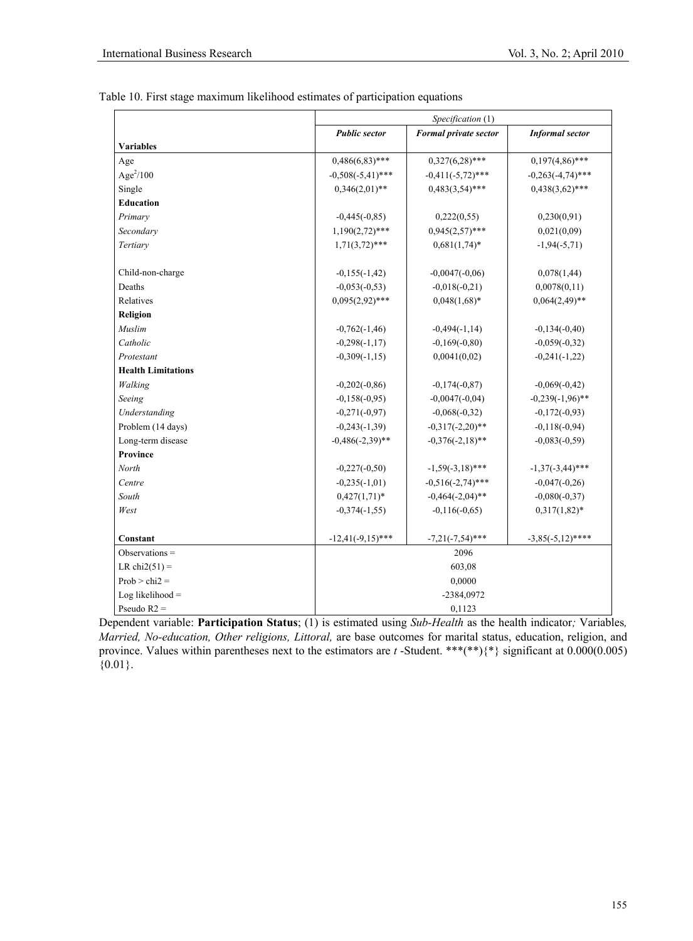|                           |                      | Specification (1)     |                        |  |
|---------------------------|----------------------|-----------------------|------------------------|--|
|                           | <b>Public sector</b> | Formal private sector | <b>Informal</b> sector |  |
| <b>Variables</b>          |                      |                       |                        |  |
| Age                       | $0,486(6,83)$ ***    | $0,327(6,28)$ ***     | $0,197(4,86)$ ***      |  |
| Age $^{2}/100$            | $-0,508(-5,41)$ ***  | $-0,411(-5,72)$ ***   | $-0,263(-4,74)$ ***    |  |
| Single                    | $0,346(2,01)$ **     | $0,483(3,54)$ ***     | $0,438(3,62)$ ***      |  |
| <b>Education</b>          |                      |                       |                        |  |
| Primary                   | $-0,445(-0,85)$      | 0,222(0,55)           | 0,230(0,91)            |  |
| Secondary                 | $1,190(2,72)$ ***    | $0,945(2,57)$ ***     | 0,021(0,09)            |  |
| Tertiary                  | $1,71(3,72)$ ***     | $0,681(1,74)$ *       | $-1,94(-5,71)$         |  |
| Child-non-charge          | $-0,155(-1,42)$      | $-0,0047(-0,06)$      | 0,078(1,44)            |  |
| Deaths                    | $-0,053(-0,53)$      | $-0,018(-0,21)$       | 0,0078(0,11)           |  |
| Relatives                 | $0,095(2,92)$ ***    | $0,048(1,68)*$        | $0,064(2,49)$ **       |  |
| Religion                  |                      |                       |                        |  |
| Muslim                    | $-0,762(-1,46)$      | $-0,494(-1,14)$       | $-0,134(-0,40)$        |  |
| Catholic                  | $-0,298(-1,17)$      | $-0,169(-0,80)$       | $-0,059(-0,32)$        |  |
| Protestant                | $-0,309(-1,15)$      | 0,0041(0,02)          | $-0,241(-1,22)$        |  |
| <b>Health Limitations</b> |                      |                       |                        |  |
| Walking                   | $-0,202(-0,86)$      | $-0,174(-0,87)$       | $-0,069(-0,42)$        |  |
| Seeing                    | $-0,158(-0,95)$      | $-0,0047(-0,04)$      | $-0,239(-1,96)$ **     |  |
| Understanding             | $-0,271(-0,97)$      | $-0,068(-0,32)$       | $-0,172(-0,93)$        |  |
| Problem (14 days)         | $-0,243(-1,39)$      | $-0,317(-2,20)**$     | $-0,118(-0,94)$        |  |
| Long-term disease         | $-0,486(-2,39)$ **   | $-0,376(-2,18)$ **    | $-0,083(-0,59)$        |  |
| Province                  |                      |                       |                        |  |
| North                     | $-0,227(-0,50)$      | $-1,59(-3,18)$ ***    | $-1,37(-3,44)$ ***     |  |
| Centre                    | $-0,235(-1,01)$      | $-0,516(-2,74)$ ***   | $-0,047(-0,26)$        |  |
| South                     | $0,427(1,71)*$       | $-0,464(-2,04)$ **    | $-0,080(-0,37)$        |  |
| West                      | $-0,374(-1,55)$      | $-0,116(-0,65)$       | $0,317(1,82)$ *        |  |
| Constant                  | $-12,41(-9,15)$ ***  | $-7,21(-7,54)$ ***    | $-3,85(-5,12)$ ****    |  |
| Observations $=$          |                      | 2096                  |                        |  |
| LR chi $2(51)$ =          |                      | 603,08                |                        |  |
| $Prob > chi2 =$           |                      | 0,0000                |                        |  |
| Log likelihood $=$        |                      | -2384,0972            |                        |  |
| Pseudo $R2 =$             |                      | 0,1123                |                        |  |

| Table 10. First stage maximum likelihood estimates of participation equations |  |  |  |
|-------------------------------------------------------------------------------|--|--|--|
|-------------------------------------------------------------------------------|--|--|--|

Dependent variable: **Participation Status**; (1) is estimated using *Sub-Health* as the health indicator*;* Variables*, Married, No-education, Other religions, Littoral,* are base outcomes for marital status, education, religion, and province. Values within parentheses next to the estimators are *t* -Student. \*\*\*(\*\*){\*} significant at 0.000(0.005)  ${0.01}$ .